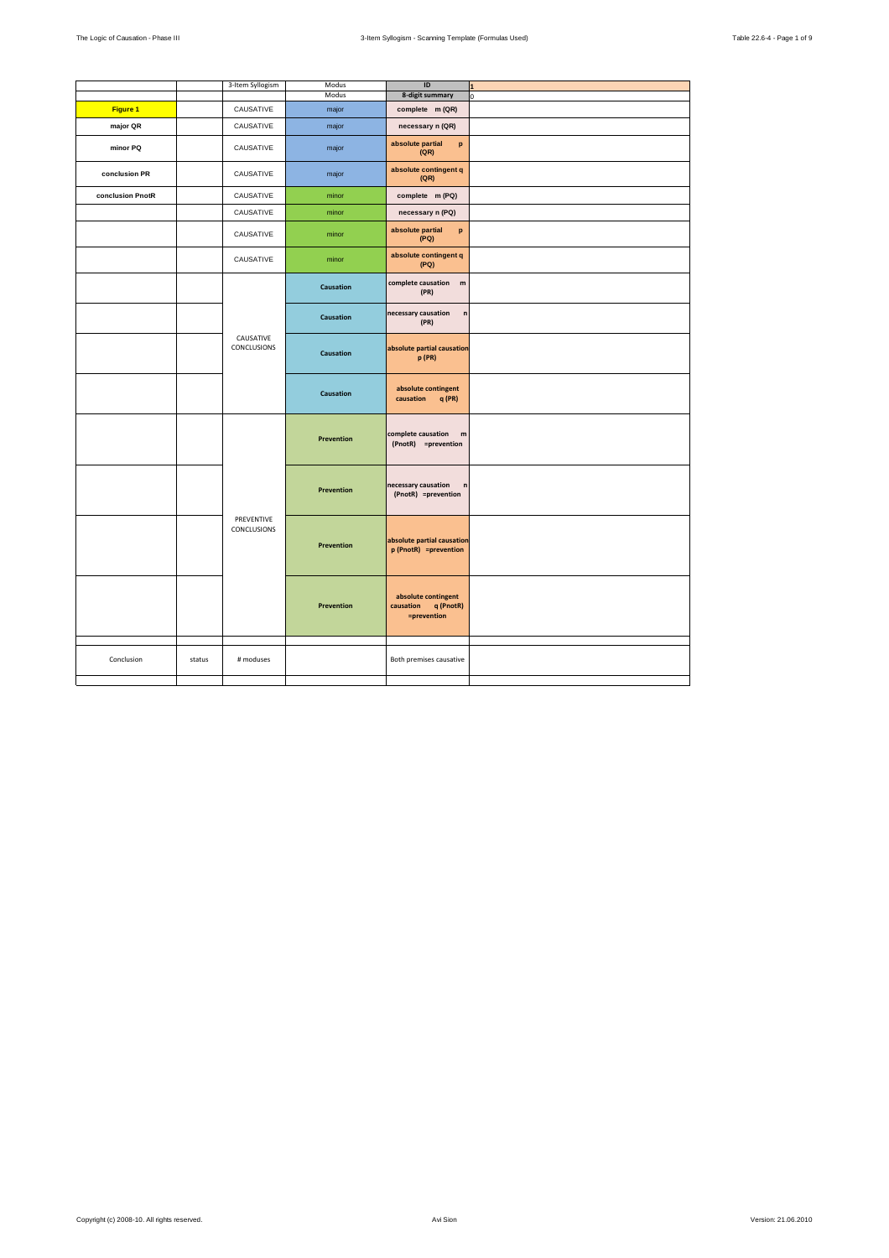|                  |        | 3-Item Syllogism          | Modus            | ID                                                           | 1 |
|------------------|--------|---------------------------|------------------|--------------------------------------------------------------|---|
|                  |        |                           | Modus            | 8-digit summary                                              | ń |
| Figure 1         |        | CAUSATIVE                 | major            | complete m (QR)                                              |   |
| major QR         |        | CAUSATIVE                 | major            | necessary n (QR)                                             |   |
| minor PQ         |        | CAUSATIVE                 | major            | absolute partial<br>p<br>(QR)                                |   |
| conclusion PR    |        | CAUSATIVE                 | major            | absolute contingent q<br>(QR)                                |   |
| conclusion PnotR |        | CAUSATIVE                 | minor            | complete m (PQ)                                              |   |
|                  |        | CAUSATIVE                 | minor            | necessary n (PQ)                                             |   |
|                  |        | CAUSATIVE                 | minor            | absolute partial<br>p<br>(PQ)                                |   |
|                  |        | CAUSATIVE                 | minor            | absolute contingent q<br>(PQ)                                |   |
|                  |        |                           | <b>Causation</b> | complete causation m<br>(PR)                                 |   |
|                  |        |                           | Causation        | necessary causation<br>n<br>(PR)                             |   |
|                  |        | CAUSATIVE<br>CONCLUSIONS  | Causation        | absolute partial causation<br>p (PR)                         |   |
|                  |        |                           | <b>Causation</b> | absolute contingent<br>causation q (PR)                      |   |
|                  |        |                           | Prevention       | complete causation<br>m<br>(PnotR) =prevention               |   |
|                  |        |                           | Prevention       | necessary causation<br>n<br>(PnotR) =prevention              |   |
|                  |        | PREVENTIVE<br>CONCLUSIONS | Prevention       | absolute partial causation<br>p (PnotR) =prevention          |   |
|                  |        |                           | Prevention       | absolute contingent<br>q (PnotR)<br>causation<br>=prevention |   |
| Conclusion       | status | # moduses                 |                  | Both premises causative                                      |   |
|                  |        |                           |                  |                                                              |   |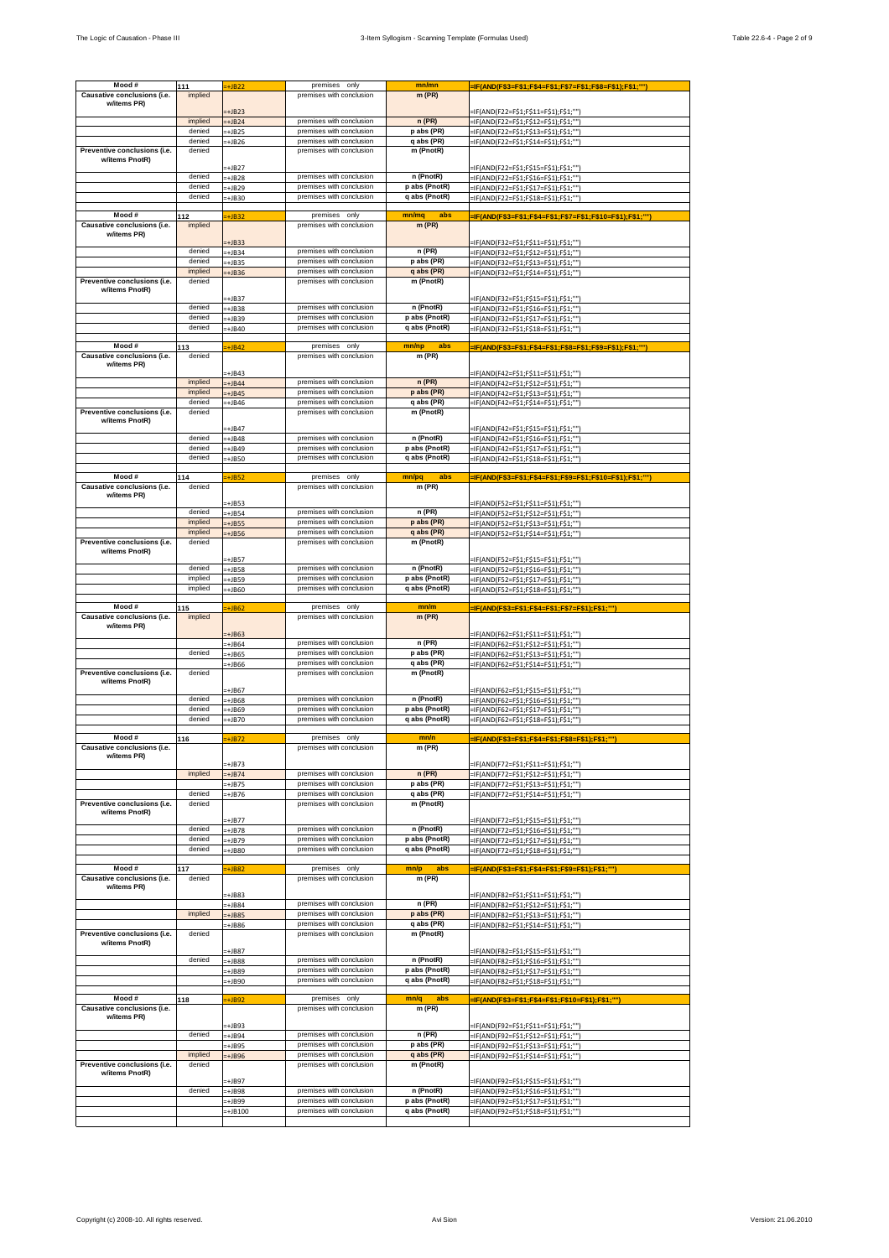|                              |               |                   | premises only            | mn/mn         |                                                                                |
|------------------------------|---------------|-------------------|--------------------------|---------------|--------------------------------------------------------------------------------|
| Mood#                        | 111           | $=+JB22$          |                          |               | -IF(AND(F\$3=F\$1;F\$4=F\$1;F\$7=F\$1;F\$8=F\$1);F\$1;"")                      |
| Causative conclusions (i.e.  | implied       |                   | premises with conclusion | $m$ (PR)      |                                                                                |
| w/items PR)                  |               |                   |                          |               |                                                                                |
|                              |               | $+JB23$           |                          |               | -IF(AND(F22=F\$1;F\$11=F\$1);F\$1;"")                                          |
|                              | implied       | $+JB24$           | premises with conclusion | n(PR)         | =IF(AND(F22=F\$1;F\$12=F\$1);F\$1;"")                                          |
|                              | denied        | $+JB25$           | premises with conclusion | p abs (PR)    | -IF(AND(F22=F\$1;F\$13=F\$1);F\$1;"")                                          |
|                              | denied        | +JB26             | premises with conclusion | q abs (PR)    | =IF(AND(F22=F\$1;F\$14=F\$1);F\$1;"")                                          |
| Preventive conclusions (i.e. | denied        |                   | premises with conclusion | m (PnotR)     |                                                                                |
| w/items PnotR)               |               |                   |                          |               |                                                                                |
|                              |               | $+JB27$           |                          |               | -IF(AND(F22=F\$1;F\$15=F\$1);F\$1;"")                                          |
|                              | denied        | $+JB28$           | premises with conclusion | n (PnotR)     | =IF(AND(F22=F\$1;F\$16=F\$1);F\$1;"")                                          |
|                              | denied        | $+JB29$           | premises with conclusion | p abs (PnotR) | =IF(AND(F22=F\$1;F\$17=F\$1);F\$1;"")                                          |
|                              | denied        | +JB30             | premises with conclusion | q abs (PnotR) | =IF(AND(F22=F\$1;F\$18=F\$1);F\$1;"")                                          |
|                              |               |                   |                          |               |                                                                                |
| Mood#                        | 112           | $+JB32$           | premises only            | mn/mq<br>abs  | =IF(AND(F\$3=F\$1;F\$4=F\$1;F\$7=F\$1;F\$10=F\$1);F\$1;"")                     |
| Causative conclusions (i.e.  | implied       |                   | premises with conclusion | m(PR)         |                                                                                |
| w/items PR)                  |               |                   |                          |               |                                                                                |
|                              |               | $+JB33$           |                          |               | =IF(AND(F32=F\$1;F\$11=F\$1);F\$1;"")                                          |
|                              | denied        | $+JB34$           | premises with conclusion | n(PR)         | =IF(AND(F32=F\$1;F\$12=F\$1);F\$1;'                                            |
|                              | denied        | $+JB35$           | premises with conclusion | p abs (PR)    | =IF(AND(F32=F\$1;F\$13=F\$1);F\$1;""]                                          |
|                              | implied       | $=+JB36$          | premises with conclusion | q abs (PR)    | =IF(AND(F32=F\$1;F\$14=F\$1);F\$1;""]                                          |
| Preventive conclusions (i.e. | denied        |                   | premises with conclusion | m (PnotR)     |                                                                                |
| w/items PnotR)               |               | $+JB37$           |                          |               |                                                                                |
|                              | denied        |                   | premises with conclusion | n (PnotR)     | =IF(AND(F32=F\$1;F\$15=F\$1);F\$1;""]                                          |
|                              | denied        | $= +JB38$         | premises with conclusion | p abs (PnotR) | =IF(AND(F32=F\$1;F\$16=F\$1);F\$1;""]                                          |
|                              | denied        | +JB39             | premises with conclusion | q abs (PnotR) | =IF(AND(F32=F\$1;F\$17=F\$1);F\$1;"")                                          |
|                              |               | +JB40             |                          |               | =IF(AND(F32=F\$1;F\$18=F\$1);F\$1;""]                                          |
| Mood#                        |               | $+JB42$           | premises only            | mn/np<br>abs  | -IF(AND(F\$3=F\$1;F\$4=F\$1;F\$8=F\$1;F\$9=F\$1);F\$1;""]                      |
| Causative conclusions (i.e.  | 113<br>denied |                   | premises with conclusion | $m$ (PR)      |                                                                                |
| w/items PR)                  |               |                   |                          |               |                                                                                |
|                              |               | $+$ JB43          |                          |               | =IF(AND(F42=F\$1;F\$11=F\$1);F\$1;"")                                          |
|                              | implied       | $+JB44$           | premises with conclusion | n(PR)         | -IF(AND(F42=F\$1;F\$12=F\$1);F\$1;"")                                          |
|                              | implied       | $+JB45$           | premises with conclusion | p abs (PR)    | =IF(AND(F42=F\$1;F\$13=F\$1);F\$1;"")                                          |
|                              | denied        | +JB46             | premises with conclusion | q abs (PR)    | =IF(AND(F42=F\$1;F\$14=F\$1);F\$1;"")                                          |
| Preventive conclusions (i.e. | denied        |                   | premises with conclusion | m (PnotR)     |                                                                                |
| w/items PnotR)               |               |                   |                          |               |                                                                                |
|                              |               | $+JB47$           |                          |               | -IF(AND(F42=F\$1;F\$15=F\$1);F\$1;""]                                          |
|                              | denied        | $+JB48$           | premises with conclusion | n (PnotR)     | =IF(AND(F42=F\$1;F\$16=F\$1);F\$1;"")                                          |
|                              | denied        | +JB49             | premises with conclusion | p abs (PnotR) | -IF(AND(F42=F\$1;F\$17=F\$1);F\$1;"")                                          |
|                              | denied        | +JB50             | premises with conclusion | q abs (PnotR) | =IF(AND(F42=F\$1;F\$18=F\$1);F\$1;"")                                          |
|                              |               |                   |                          |               |                                                                                |
| Mood#                        | 114           | $\div$ JB52       | premises only            | mn/pq<br>abs  | =IF(AND(F\$3=F\$1;F\$4=F\$1;F\$9=F\$1;F\$10=F\$1);F\$1;""                      |
| Causative conclusions (i.e.  | denied        |                   | premises with conclusion | $m$ (PR)      |                                                                                |
| w/items PR)                  |               |                   |                          |               |                                                                                |
|                              |               | $+JB53$           |                          |               | =IF(AND(F52=F\$1;F\$11=F\$1);F\$1;""]                                          |
|                              | denied        | $-+JB54$          | premises with conclusion | n (PR)        | =IF(AND(F52=F\$1;F\$12=F\$1);F\$1;"")                                          |
|                              | implied       | $+$ JB55          | premises with conclusion | p abs (PR)    | =IF(AND(F52=F\$1;F\$13=F\$1);F\$1;""]                                          |
|                              | implied       | $+$ JB56          | premises with conclusion | q abs (PR)    | =IF(AND(F52=F\$1;F\$14=F\$1);F\$1;""]                                          |
| Preventive conclusions (i.e. | denied        |                   | premises with conclusion | m (PnotR)     |                                                                                |
| w/items PnotR)               |               | $+JB57$           |                          |               |                                                                                |
|                              | denied        | $+$ JB58          | premises with conclusion | n (PnotR)     | =IF(AND(F52=F\$1;F\$15=F\$1);F\$1;""]                                          |
|                              | implied       |                   | premises with conclusion | p abs (PnotR) | =IF(AND(F52=F\$1;F\$16=F\$1);F\$1;""]                                          |
|                              | implied       | +JB59             | premises with conclusion | q abs (PnotR) | =IF(AND(F52=F\$1;F\$17=F\$1);F\$1;""]                                          |
|                              |               | -+JB60            |                          |               | =IF(AND(F52=F\$1;F\$18=F\$1);F\$1;""]                                          |
| Mood #                       | 115           |                   | premises only            | mn/m          |                                                                                |
|                              |               | +JB62             |                          |               | =IF(AND(F\$3=F\$1;F\$4=F\$1;F\$7=F\$1);F\$1;"")                                |
|                              |               |                   |                          |               |                                                                                |
| Causative conclusions (i.e.  | implied       |                   | premises with conclusion | $m$ (PR)      |                                                                                |
| w/items PR)                  |               | $+JB63$           |                          |               | -IF(AND(F62=F\$1;F\$11=F\$1);F\$1;"")                                          |
|                              |               | +JB64             | premises with conclusion | n (PR)        | =IF(AND(F62=F\$1;F\$12=F\$1);F\$1;"")                                          |
|                              | denied        | $+$ JB65          | premises with conclusion | p abs (PR)    | =IF(AND(F62=F\$1;F\$13=F\$1);F\$1;"")                                          |
|                              |               | +JB66             | premises with conclusion | q abs (PR)    |                                                                                |
| Preventive conclusions (i.e. | denied        |                   | premises with conclusion | m (PnotR)     | =IF(AND(F62=F\$1;F\$14=F\$1);F\$1;"")                                          |
| w/items PnotR)               |               |                   |                          |               |                                                                                |
|                              |               | +JB67             |                          |               | =IF(AND(F62=F\$1;F\$15=F\$1);F\$1;""]                                          |
|                              | denied        | +JB68             | premises with conclusion | n (PnotR)     | =IF(AND(F62=F\$1;F\$16=F\$1);F\$1;"")                                          |
|                              | denied        | +JB69             | premises with conclusion | p abs (PnotR) | -IF(AND(F62=F\$1;F\$17=F\$1);F\$1;"")                                          |
|                              | denied        | $=+JB70$          | premises with conclusion | q abs (PnotR) | =IF(AND(F62=F\$1;F\$18=F\$1);F\$1;""]                                          |
|                              |               |                   |                          |               |                                                                                |
| Mood #                       | 116           | $=+JB72$          | premises only            | mn/n          | =IF(AND(F\$3=F\$1;F\$4=F\$1;F\$8=F\$1);F\$1;"")                                |
| Causative conclusions (i.e.  |               |                   | premises with conclusion | m (PR)        |                                                                                |
| w/items PR)                  |               | $+JB73$           |                          |               |                                                                                |
|                              | implied       | $+JB74$           | premises with conclusion | n(PR)         | -IF(AND(F72=F\$1;F\$11=F\$1);F\$1;"")<br>=IF(AND(F72=F\$1;F\$12=F\$1);F\$1;""] |
|                              |               | $+JB75$           | premises with conclusion | p abs (PR)    | =IF(AND(F72=F\$1;F\$13=F\$1);F\$1;"")                                          |
|                              | denied        | -+JB76            | premises with conclusion | q abs (PR)    | =IF(AND(F72=F\$1;F\$14=F\$1);F\$1;""]                                          |
| Preventive conclusions (i.e. | denied        |                   | premises with conclusion | m (PnotR)     |                                                                                |
| w/items PnotR)               |               |                   |                          |               |                                                                                |
|                              |               | $+JB77$           |                          |               | -IF(AND(F72=F\$1;F\$15=F\$1);F\$1;"")                                          |
|                              | denied        | $+JB78$           | premises with conclusion | n (PnotR)     | =IF(AND(F72=F\$1;F\$16=F\$1);F\$1;"")                                          |
|                              | denied        | +JB79             | premises with conclusion | p abs (PnotR) | =IF(AND(F72=F\$1;F\$17=F\$1);F\$1;"")                                          |
|                              | denied        | +JB80             | premises with conclusion | q abs (PnotR) | =IF(AND(F72=F\$1;F\$18=F\$1);F\$1;""]                                          |
|                              |               |                   |                          |               |                                                                                |
| Mood #                       | 117           | $+JB82$           | premises only            | abs<br>mn/p   | -IF(AND(F\$3=F\$1;F\$4=F\$1;F\$9=F\$1);F\$1;""]                                |
| Causative conclusions (i.e.  | denied        |                   | premises with conclusion | $m$ (PR)      |                                                                                |
| w/items PR)                  |               | +JB83             |                          |               | -IF(AND(F82=F\$1;F\$11=F\$1);F\$1;"")                                          |
|                              |               | +JB84             | premises with conclusion | $n$ (PR)      | -IF(AND(F82=F\$1;F\$12=F\$1);F\$1;"")                                          |
|                              | implied       |                   | premises with conclusion | p abs (PR)    |                                                                                |
|                              |               | $+$ JB85<br>+JB86 | premises with conclusion | q abs (PR)    | -IF(AND(F82=F\$1;F\$13=F\$1);F\$1;"")<br>=IF(AND(F82=F\$1;F\$14=F\$1);F\$1;"") |
| Preventive conclusions (i.e. | denied        |                   | premises with conclusion | m (PnotR)     |                                                                                |
| w/items PnotR)               |               |                   |                          |               |                                                                                |
|                              |               | +JB87             |                          |               | :IF(AND(F82=F\$1;F\$15=F\$1);F\$1;""]                                          |
|                              | denied        | +JB88             | premises with conclusion | n (PnotR)     | -IF(AND(F82=F\$1;F\$16=F\$1);F\$1;"")                                          |
|                              |               | :+JB89            | premises with conclusion | p abs (PnotR) | =IF(AND(F82=F\$1;F\$17=F\$1);F\$1;"")                                          |
|                              |               | +JB90             | premises with conclusion | q abs (PnotR) | =IF(AND(F82=F\$1;F\$18=F\$1);F\$1;"")                                          |
|                              |               |                   |                          |               |                                                                                |
| Mood #                       | 118           | $=+JB92$          | premises only            | mn/q<br>abs   | =IF(AND(F\$3=F\$1;F\$4=F\$1;F\$10=F\$1);F\$1;"")                               |
| Causative conclusions (i.e.  |               |                   | premises with conclusion | $m$ (PR)      |                                                                                |
| w/items PR)                  |               |                   |                          |               |                                                                                |
|                              |               | +JB93             |                          |               | =IF(AND(F92=F\$1;F\$11=F\$1);F\$1;"")                                          |
|                              | denied        | $+$ JB94          | premises with conclusion | n (PR)        | =IF(AND(F92=F\$1;F\$12=F\$1);F\$1;"")                                          |
|                              |               | +JB95             | premises with conclusion | p abs (PR)    | -IF(AND(F92=F\$1;F\$13=F\$1);F\$1;'                                            |
|                              | implied       | +JB96             | premises with conclusion | q abs (PR)    | =IF(AND(F92=F\$1;F\$14=F\$1);F\$1;"")                                          |
| Preventive conclusions (i.e. | denied        |                   | premises with conclusion | m (PnotR)     |                                                                                |
| w/items PnotR)               |               | +JB97             |                          |               | :IF(AND(F92=F\$1;F\$15=F\$1);F\$1;""]                                          |
|                              | denied        | +JB98             | premises with conclusion | n (PnotR)     |                                                                                |
|                              |               | -+JB99            | premises with conclusion | p abs (PnotR) | =IF(AND(F92=F\$1;F\$16=F\$1);F\$1;""]                                          |
|                              |               | $+$ JB100         | premises with conclusion | q abs (PnotR) | =IF(AND(F92=F\$1;F\$17=F\$1);F\$1;""]<br>=IF(AND(F92=F\$1;F\$18=F\$1);F\$1;"") |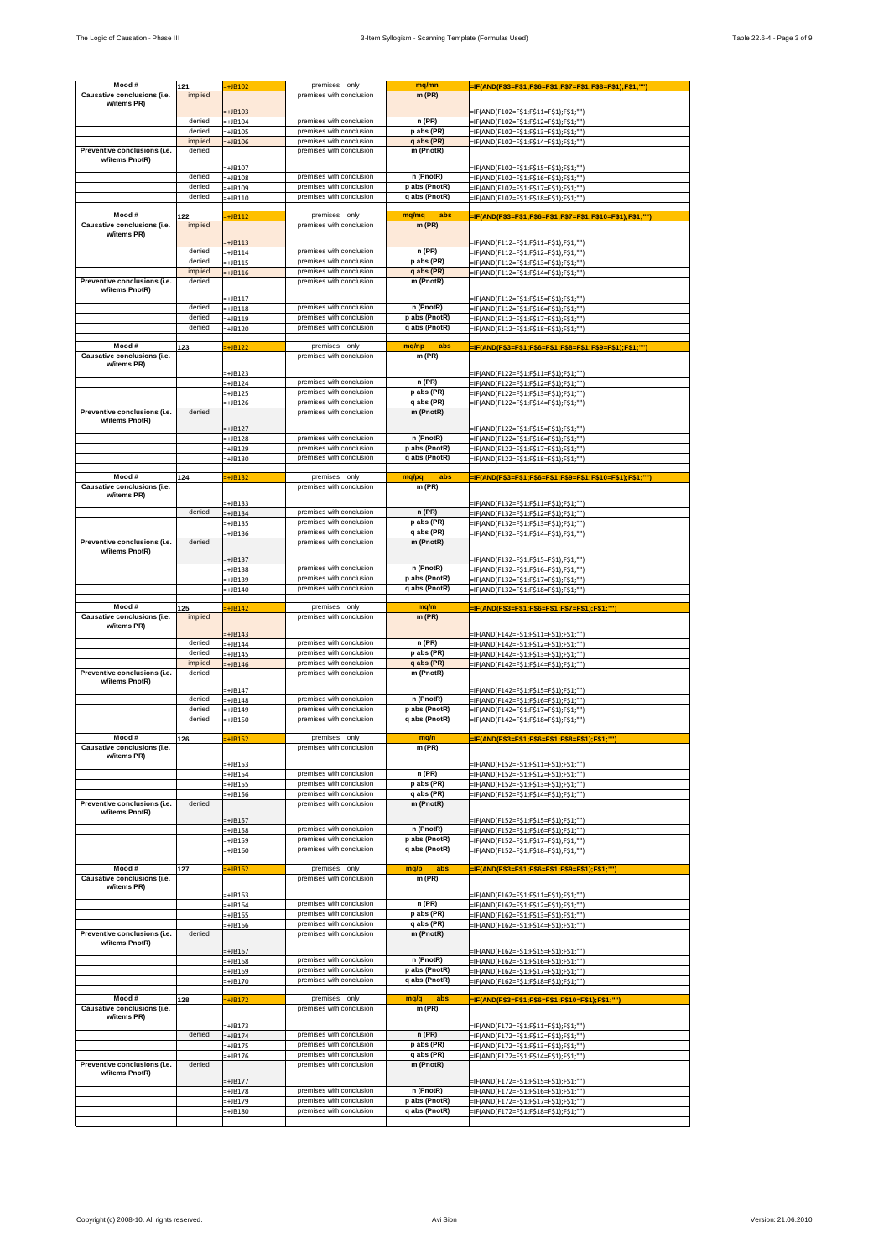| Mood#                                          |                   |                      | premises only                                        |                                |                                                            |
|------------------------------------------------|-------------------|----------------------|------------------------------------------------------|--------------------------------|------------------------------------------------------------|
|                                                | 121               | :+JB102              | premises with conclusion                             | mq/mn                          | -IF(AND(F\$3=F\$1;F\$6=F\$1;F\$7=F\$1;F\$8=F\$1);F\$1;"")  |
| Causative conclusions (i.e.<br>w/items PR)     | implied           |                      |                                                      | m(PR)                          |                                                            |
|                                                |                   | $=+JB103$            |                                                      |                                | =IF(AND(F102=F\$1;F\$11=F\$1);F\$1;"")                     |
|                                                | denied            | $=+JB104$            | premises with conclusion                             | n (PR)                         | =IF(AND(F102=F\$1;F\$12=F\$1);F\$1;"")                     |
|                                                | denied            | +JB105               | premises with conclusion                             | p abs (PR)                     | =IF(AND(F102=F\$1;F\$13=F\$1);F\$1;"")                     |
|                                                | implied           | +JB106               | premises with conclusion                             | q abs (PR)                     | =IF(AND(F102=F\$1;F\$14=F\$1);F\$1;"")                     |
| Preventive conclusions (i.e.                   | denied            |                      | premises with conclusion                             | m (PnotR)                      |                                                            |
| w/items PnotR)                                 |                   |                      |                                                      |                                |                                                            |
|                                                |                   | +JB107               |                                                      |                                | =IF(AND(F102=F\$1;F\$15=F\$1);F\$1;""]                     |
|                                                | denied<br>denied  | $=+JB108$            | premises with conclusion<br>premises with conclusion | n (PnotR)                      | =IF(AND(F102=F\$1;F\$16=F\$1);F\$1;"")                     |
|                                                |                   | -+JB109              | premises with conclusion                             | p abs (PnotR)<br>q abs (PnotR) | =IF(AND(F102=F\$1;F\$17=F\$1);F\$1;"")                     |
|                                                | denied            | -+JB110              |                                                      |                                | =IF(AND(F102=F\$1;F\$18=F\$1);F\$1;"")                     |
| Mood#                                          | 122               | $\overline{+}$ JB112 | premises only                                        | mq/mq<br>abs                   | =IF(AND(F\$3=F\$1;F\$6=F\$1;F\$7=F\$1;F\$10=F\$1);F\$1;"") |
| Causative conclusions (i.e.                    | implied           |                      | premises with conclusion                             | $m$ (PR)                       |                                                            |
| w/items PR)                                    |                   |                      |                                                      |                                |                                                            |
|                                                |                   | +JB113               |                                                      |                                | =IF(AND(F112=F\$1;F\$11=F\$1);F\$1;"")                     |
|                                                | denied            | $+$ JB114            | premises with conclusion                             | n (PR)                         | =IF(AND(F112=F\$1;F\$12=F\$1);F\$1;""                      |
|                                                | denied<br>implied | $=+JB115$            | premises with conclusion<br>premises with conclusion | p abs (PR)<br>q abs (PR)       | =IF(AND(F112=F\$1;F\$13=F\$1);F\$1;""]                     |
| Preventive conclusions (i.e.                   | denied            | $=+JB116$            | premises with conclusion                             | m (PnotR)                      | =IF(AND(F112=F\$1;F\$14=F\$1);F\$1;""]                     |
| w/items PnotR)                                 |                   |                      |                                                      |                                |                                                            |
|                                                |                   | -+JB117              |                                                      |                                | =IF(AND(F112=F\$1;F\$15=F\$1);F\$1;"")                     |
|                                                | denied            | $=+JB118$            | premises with conclusion                             | n (PnotR)                      | =IF(AND(F112=F\$1;F\$16=F\$1);F\$1;"")                     |
|                                                | denied            | -+JB119              | premises with conclusion                             | p abs (PnotR)                  | -IF(AND(F112=F\$1;F\$17=F\$1);F\$1;"")                     |
|                                                | denied            | $=+JB120$            | premises with conclusion                             | q abs (PnotR)                  | =IF(AND(F112=F\$1;F\$18=F\$1);F\$1;""]                     |
| Mood #                                         |                   |                      | premises only                                        | abs                            |                                                            |
| Causative conclusions (i.e.                    | 123               | $\div$ JB122         | premises with conclusion                             | mq/np<br>$m$ (PR)              | -IF(AND(F\$3=F\$1;F\$6=F\$1;F\$8=F\$1;F\$9=F\$1);F\$1;""]  |
| w/items PR)                                    |                   |                      |                                                      |                                |                                                            |
|                                                |                   | -+JB123              |                                                      |                                | -IF(AND(F122=F\$1;F\$11=F\$1);F\$1;"")                     |
|                                                |                   | $+JB124$             | premises with conclusion                             | n (PR)                         | =IF(AND(F122=F\$1;F\$12=F\$1);F\$1;"")                     |
|                                                |                   | -+JB125              | premises with conclusion                             | p abs (PR)                     | =IF(AND(F122=F\$1;F\$13=F\$1);F\$1;"")                     |
|                                                |                   | =+JB126              | premises with conclusion                             | q abs (PR)                     | =IF(AND(F122=F\$1;F\$14=F\$1);F\$1;"")                     |
| Preventive conclusions (i.e.<br>w/items PnotR) | denied            |                      | premises with conclusion                             | m (PnotR)                      |                                                            |
|                                                |                   | $+JB127$             |                                                      |                                | =IF(AND(F122=F\$1;F\$15=F\$1);F\$1;""]                     |
|                                                |                   | $=+JB128$            | premises with conclusion                             | n (PnotR)                      | =IF(AND(F122=F\$1;F\$16=F\$1);F\$1;""]                     |
|                                                |                   | -+JB129              | premises with conclusion                             | p abs (PnotR)                  | =IF(AND(F122=F\$1;F\$17=F\$1);F\$1;"")                     |
|                                                |                   | -+JB130              | premises with conclusion                             | q abs (PnotR)                  | =IF(AND(F122=F\$1;F\$18=F\$1);F\$1;"")                     |
|                                                |                   |                      |                                                      |                                |                                                            |
| Mood#                                          | 124               | $\div$ JB132         | premises only                                        | mq/pq<br>abs                   | =IF(AND(F\$3=F\$1;F\$6=F\$1;F\$9=F\$1;F\$10=F\$1);F\$1;"'  |
| Causative conclusions (i.e.<br>w/items PR)     |                   |                      | premises with conclusion                             | m (PR)                         |                                                            |
|                                                |                   | -+JB133              |                                                      |                                | =IF(AND(F132=F\$1;F\$11=F\$1);F\$1;""]                     |
|                                                | denied            | $=+JB134$            | premises with conclusion                             | $n$ (PR)                       | =IF(AND(F132=F\$1;F\$12=F\$1);F\$1;"")                     |
|                                                |                   | $=+JB135$            | premises with conclusion                             | p abs (PR)                     | =IF(AND(F132=F\$1;F\$13=F\$1);F\$1;"")                     |
|                                                |                   | -+JB136              | premises with conclusion                             | q abs (PR)                     | -IF(AND(F132=F\$1;F\$14=F\$1);F\$1;"")                     |
| Preventive conclusions (i.e.                   | denied            |                      | premises with conclusion                             | m (PnotR)                      |                                                            |
| w/items PnotR)                                 |                   | -+JB137              |                                                      |                                | =IF(AND(F132=F\$1;F\$15=F\$1);F\$1;"")                     |
|                                                |                   | -+JB138              | premises with conclusion                             | n (PnotR)                      | =IF(AND(F132=F\$1;F\$16=F\$1);F\$1;""]                     |
|                                                |                   | -+JB139              | premises with conclusion                             | p abs (PnotR)                  | =IF(AND(F132=F\$1;F\$17=F\$1);F\$1;""]                     |
|                                                |                   | $=+JB140$            | premises with conclusion                             | q abs (PnotR)                  | =IF(AND(F132=F\$1;F\$18=F\$1);F\$1;"")                     |
|                                                |                   |                      |                                                      |                                |                                                            |
| Mood #                                         | 125               | <b>+JB142</b>        | premises only                                        | mq/m                           | =IF(AND(F\$3=F\$1;F\$6=F\$1;F\$7=F\$1);F\$1;""             |
| Causative conclusions (i.e.                    | implied           |                      | premises with conclusion                             | m (PR)                         |                                                            |
| w/items PR)                                    |                   | $+JB143$             |                                                      |                                | =IF(AND(F142=F\$1;F\$11=F\$1);F\$1;"")                     |
|                                                | denied            | -+JB144              | premises with conclusion                             | n (PR)                         | =IF(AND(F142=F\$1;F\$12=F\$1);F\$1;""]                     |
|                                                | denied            | $=+JB145$            | premises with conclusion                             | p abs (PR)                     | =IF(AND(F142=F\$1;F\$13=F\$1);F\$1;"")                     |
|                                                | implied           | -+JB146              | premises with conclusion                             | q abs (PR)                     | =IF(AND(F142=F\$1;F\$14=F\$1);F\$1;"")                     |
| Preventive conclusions (i.e.                   | denied            |                      | premises with conclusion                             | m (PnotR)                      |                                                            |
| w/items PnotR)                                 |                   |                      |                                                      |                                |                                                            |
|                                                |                   | $=+JB147$            |                                                      | n (PnotR)                      | =IF(AND(F142=F\$1;F\$15=F\$1);F\$1;""]                     |
|                                                | denied<br>denied  | -+JB148              | premises with conclusion<br>premises with conclusion | p abs (PnotR)                  | =IF(AND(F142=F\$1;F\$16=F\$1);F\$1;"")                     |
|                                                | denied            | -+JB149<br>$=+JB150$ | premises with conclusion                             | q abs (PnotR)                  | =IF(AND(F142=F\$1;F\$17=F\$1);F\$1;""]                     |
|                                                |                   |                      |                                                      |                                | =IF(AND(F142=F\$1;F\$18=F\$1);F\$1;"")                     |
| Mood #                                         | 126               | $\overline{+}$ JB152 | premises only                                        | mq/n                           | =IF(AND(F\$3=F\$1;F\$6=F\$1;F\$8=F\$1);F\$1;""             |
| Causative conclusions (i.e.                    |                   |                      | premises with conclusion                             | m (PR)                         |                                                            |
| w/items PR)                                    |                   |                      |                                                      |                                |                                                            |
|                                                |                   | -+JB153              | premises with conclusion                             | n (PR)                         | =IF(AND(F152=F\$1;F\$11=F\$1);F\$1;"")                     |
|                                                |                   | $=+JB154$            | premises with conclusion                             | p abs (PR)                     | =IF(AND(F152=F\$1;F\$12=F\$1);F\$1;"")                     |
|                                                |                   | $-+$ JB155           | premises with conclusion                             | q abs (PR)                     | -IF(AND(F152=F\$1;F\$13=F\$1);F\$1;"")                     |
| Preventive conclusions (i.e.                   | denied            | $=+JB156$            | premises with conclusion                             | m (PnotR)                      | =IF(AND(F152=F\$1;F\$14=F\$1);F\$1;"")                     |
| w/items PnotR)                                 |                   |                      |                                                      |                                |                                                            |
|                                                |                   | $+JB157$             |                                                      |                                | =IF(AND(F152=F\$1;F\$15=F\$1);F\$1;"")                     |
|                                                |                   | +JB158               | premises with conclusion                             | n (PnotR)                      | =IF(AND(F152=F\$1;F\$16=F\$1);F\$1;"")                     |
|                                                |                   | $=+JB159$            | premises with conclusion<br>premises with conclusion | p abs (PnotR)<br>q abs (PnotR) | =IF(AND(F152=F\$1;F\$17=F\$1);F\$1;"")                     |
|                                                |                   | $=+JB160$            |                                                      |                                | =IF(AND(F152=F\$1;F\$18=F\$1);F\$1;""]                     |
| Mood #                                         | 127               | $\overline{+}$ JB162 | premises only                                        | abs<br>mq/p                    | -IF(AND(F\$3=F\$1;F\$6=F\$1;F\$9=F\$1);F\$1;""]            |
| Causative conclusions (i.e.                    |                   |                      | premises with conclusion                             | m (PR)                         |                                                            |
| w/items PR)                                    |                   |                      |                                                      |                                |                                                            |
|                                                |                   | -+JB163              | premises with conclusion                             | $n$ (PR)                       | =IF(AND(F162=F\$1;F\$11=F\$1);F\$1;"")                     |
|                                                |                   | $=+JB164$            | premises with conclusion                             | p abs (PR)                     | =IF(AND(F162=F\$1;F\$12=F\$1);F\$1;"")                     |
|                                                |                   | -+JB165              | premises with conclusion                             | q abs (PR)                     | =IF(AND(F162=F\$1;F\$13=F\$1);F\$1;"")                     |
| Preventive conclusions (i.e.                   | denied            | -+JB166              | premises with conclusion                             | m (PnotR)                      | =IF(AND(F162=F\$1;F\$14=F\$1);F\$1;"")                     |
| w/items PnotR)                                 |                   |                      |                                                      |                                |                                                            |
|                                                |                   | +JB167               |                                                      |                                | =IF(AND(F162=F\$1;F\$15=F\$1);F\$1;""]                     |
|                                                |                   | -+JB168              | premises with conclusion                             | n (PnotR)                      | =IF(AND(F162=F\$1;F\$16=F\$1);F\$1;""]                     |
|                                                |                   | -+JB169              | premises with conclusion                             | p abs (PnotR)                  | =IF(AND(F162=F\$1;F\$17=F\$1);F\$1;"")                     |
|                                                |                   | $=+JB170$            | premises with conclusion                             | q abs (PnotR)                  | =IF(AND(F162=F\$1;F\$18=F\$1);F\$1;"")                     |
| Mood #                                         |                   |                      | premises only                                        | mq/q<br>abs                    |                                                            |
| Causative conclusions (i.e.                    | 128               | $=+JB172$            | premises with conclusion                             | m (PR)                         | =IF(AND(F\$3=F\$1;F\$6=F\$1;F\$10=F\$1);F\$1;"")           |
| w/items PR)                                    |                   |                      |                                                      |                                |                                                            |
|                                                |                   | $=+JB173$            |                                                      |                                | =IF(AND(F172=F\$1;F\$11=F\$1);F\$1;"")                     |
|                                                | denied            | $=+JB174$            | premises with conclusion                             | n(PR)                          | =IF(AND(F172=F\$1;F\$12=F\$1);F\$1;"")                     |
|                                                |                   | +JB175               | premises with conclusion                             | p abs (PR)                     | =IF(AND(F172=F\$1;F\$13=F\$1);F\$1;"")                     |
|                                                |                   | $=+JB176$            | premises with conclusion                             | q abs (PR)                     | =IF(AND(F172=F\$1;F\$14=F\$1);F\$1;"")                     |
| Preventive conclusions (i.e.                   | denied            |                      | premises with conclusion                             | m (PnotR)                      |                                                            |
| w/items PnotR)                                 |                   | $+JB177$             |                                                      |                                | =IF(AND(F172=F\$1;F\$15=F\$1);F\$1;""]                     |
|                                                |                   | $=+JB178$            | premises with conclusion                             | n (PnotR)                      | =IF(AND(F172=F\$1;F\$16=F\$1);F\$1;""]                     |
|                                                |                   | =+JB179              | premises with conclusion                             | p abs (PnotR)                  | =IF(AND(F172=F\$1;F\$17=F\$1);F\$1;"")                     |
|                                                |                   | $-+$ JB180           | premises with conclusion                             | q abs (PnotR)                  | -IF(AND(F172=F\$1;F\$18=F\$1);F\$1;""]                     |
|                                                |                   |                      |                                                      |                                |                                                            |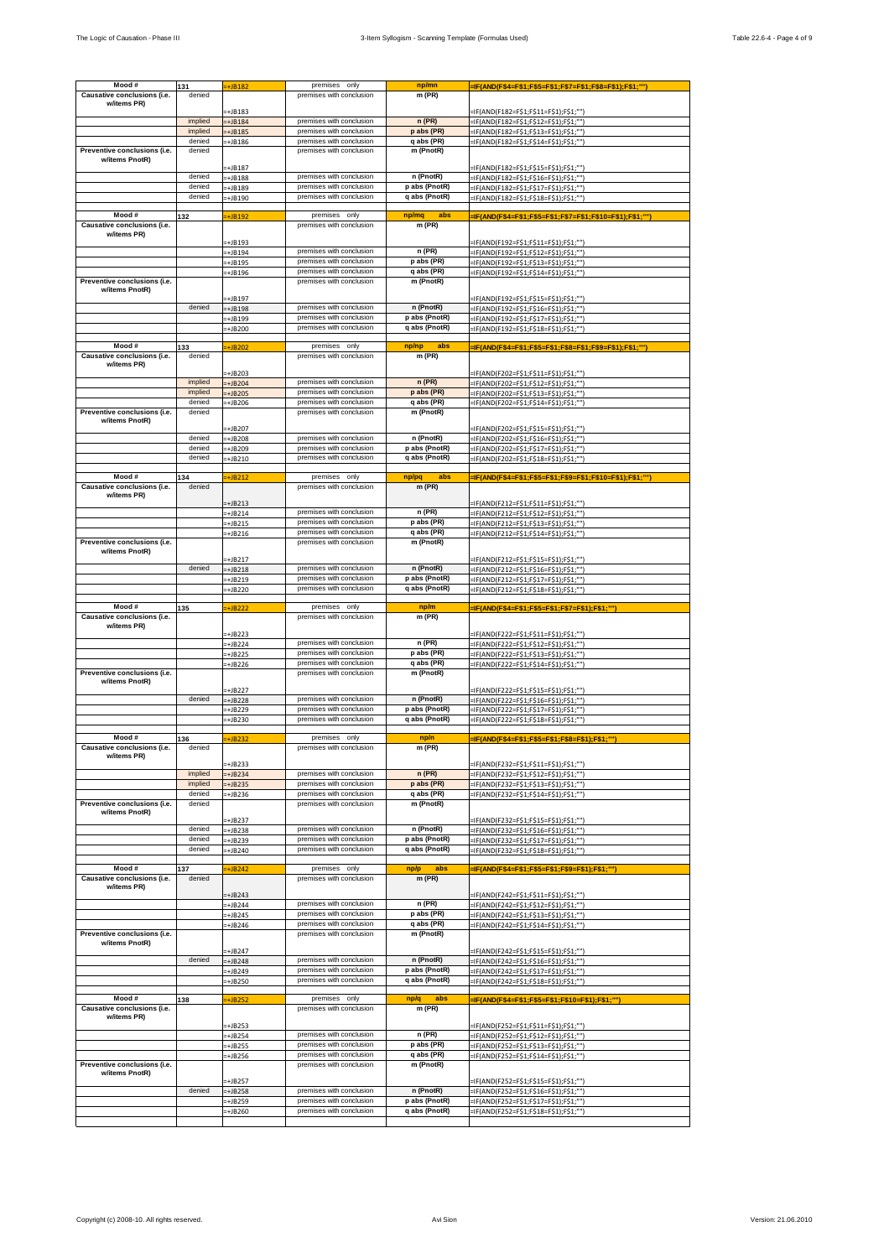| Mood#                                          |                  |                      | premises only                                        |                                |                                                                                  |
|------------------------------------------------|------------------|----------------------|------------------------------------------------------|--------------------------------|----------------------------------------------------------------------------------|
|                                                | 131<br>denied    | +JB182               | premises with conclusion                             | np/mn                          | =IF(AND(F\$4=F\$1;F\$5=F\$1;F\$7=F\$1;F\$8=F\$1);F\$1;"")                        |
| Causative conclusions (i.e.<br>w/items PR)     |                  |                      |                                                      | m (PR)                         |                                                                                  |
|                                                |                  | $=+JB183$            |                                                      |                                | =IF(AND(F182=F\$1;F\$11=F\$1);F\$1;"")                                           |
|                                                | implied          | $-+$ JB184           | premises with conclusion                             | n(PR)                          | =IF(AND(F182=F\$1;F\$12=F\$1);F\$1;"")                                           |
|                                                | implied          | +JB185               | premises with conclusion                             | p abs (PR)                     | =IF(AND(F182=F\$1;F\$13=F\$1);F\$1;"")                                           |
|                                                | denied           | -+JB186              | premises with conclusion                             | q abs (PR)                     | =IF(AND(F182=F\$1;F\$14=F\$1);F\$1;"")                                           |
| Preventive conclusions (i.e.                   | denied           |                      | premises with conclusion                             | m (PnotR)                      |                                                                                  |
| w/items PnotR)                                 |                  |                      |                                                      |                                |                                                                                  |
|                                                |                  | +JB187               |                                                      | n (PnotR)                      | =IF(AND(F182=F\$1;F\$15=F\$1);F\$1;"")                                           |
|                                                | denied<br>denied | $=+JB188$            | premises with conclusion                             |                                | =IF(AND(F182=F\$1;F\$16=F\$1);F\$1;"")                                           |
|                                                | denied           | -+JB189              | premises with conclusion<br>premises with conclusion | p abs (PnotR)<br>q abs (PnotR) | =IF(AND(F182=F\$1;F\$17=F\$1);F\$1;"")                                           |
|                                                |                  | -+JB190              |                                                      |                                | =IF(AND(F182=F\$1;F\$18=F\$1);F\$1;"")                                           |
| Mood#                                          | 132              | +JB192               | premises only                                        | np/mq<br>abs                   | =IF(AND(F\$4=F\$1;F\$5=F\$1;F\$7=F\$1;F\$10=F\$1);F\$1;"")                       |
| Causative conclusions (i.e.                    |                  |                      | premises with conclusion                             | m (PR)                         |                                                                                  |
| w/items PR)                                    |                  |                      |                                                      |                                |                                                                                  |
|                                                |                  | -+JB193              |                                                      |                                | =IF(AND(F192=F\$1;F\$11=F\$1);F\$1;"")                                           |
|                                                |                  | $=+JB194$            | premises with conclusion<br>premises with conclusion | n (PR)                         | =IF(AND(F192=F\$1;F\$12=F\$1);F\$1;""                                            |
|                                                |                  | $=+JB195$            | premises with conclusion                             | p abs (PR)<br>q abs (PR)       | =IF(AND(F192=F\$1;F\$13=F\$1);F\$1;""]                                           |
| Preventive conclusions (i.e.                   |                  | $=+JB196$            | premises with conclusion                             | m (PnotR)                      | =IF(AND(F192=F\$1;F\$14=F\$1);F\$1;""]                                           |
| w/items PnotR)                                 |                  |                      |                                                      |                                |                                                                                  |
|                                                |                  | -+JB197              |                                                      |                                | =IF(AND(F192=F\$1;F\$15=F\$1);F\$1;"")                                           |
|                                                | denied           | $=+JB198$            | premises with conclusion                             | n (PnotR)                      | =IF(AND(F192=F\$1;F\$16=F\$1);F\$1;"")                                           |
|                                                |                  | -+JB199              | premises with conclusion                             | p abs (PnotR)                  | -IF(AND(F192=F\$1;F\$17=F\$1);F\$1;"")                                           |
|                                                |                  | $=+JB200$            | premises with conclusion                             | q abs (PnotR)                  | =IF(AND(F192=F\$1;F\$18=F\$1);F\$1;""]                                           |
| Mood#                                          |                  |                      | premises only                                        | np/np<br>abs                   |                                                                                  |
| Causative conclusions (i.e.                    | 133<br>denied    | $\overline{+}$ JB202 | premises with conclusion                             | m (PR)                         | -IF(AND(F\$4=F\$1;F\$5=F\$1;F\$8=F\$1;F\$9=F\$1);F\$1;""]                        |
| w/items PR)                                    |                  |                      |                                                      |                                |                                                                                  |
|                                                |                  | +JB203               |                                                      |                                | =IF(AND(F202=F\$1;F\$11=F\$1);F\$1;"")                                           |
|                                                | implied          | +JB204               | premises with conclusion                             | n(PR)                          | =IF(AND(F202=F\$1;F\$12=F\$1);F\$1;"")                                           |
|                                                | implied          | +JB205               | premises with conclusion                             | p abs (PR)                     | =IF(AND(F202=F\$1;F\$13=F\$1);F\$1;"")                                           |
|                                                | denied           | -+JB206              | premises with conclusion                             | q abs (PR)                     | =IF(AND(F202=F\$1;F\$14=F\$1);F\$1;"")                                           |
| Preventive conclusions (i.e.<br>w/items PnotR) | denied           |                      | premises with conclusion                             | m (PnotR)                      |                                                                                  |
|                                                |                  | +JB207               |                                                      |                                | =IF(AND(F202=F\$1;F\$15=F\$1);F\$1;""]                                           |
|                                                | denied           | -+JB208              | premises with conclusion                             | n (PnotR)                      | =IF(AND(F202=F\$1;F\$16=F\$1);F\$1;""]                                           |
|                                                | denied           | +JB209               | premises with conclusion                             | p abs (PnotR)                  | -IF(AND(F202=F\$1;F\$17=F\$1);F\$1;"")                                           |
|                                                | denied           | +JB210               | premises with conclusion                             | q abs (PnotR)                  | =IF(AND(F202=F\$1;F\$18=F\$1);F\$1;"")                                           |
|                                                |                  |                      |                                                      |                                |                                                                                  |
| Mood#<br>Causative conclusions (i.e.           | 134              | $\div$ JB212         | premises only<br>premises with conclusion            | np/pq<br>abs                   | =IF(AND(F\$4=F\$1;F\$5=F\$1;F\$9=F\$1;F\$10=F\$1);F\$1;"'                        |
| w/items PR)                                    | denied           |                      |                                                      | m (PR)                         |                                                                                  |
|                                                |                  | $+JB213$             |                                                      |                                | =IF(AND(F212=F\$1;F\$11=F\$1);F\$1;""]                                           |
|                                                |                  | $=+JB214$            | premises with conclusion                             | n (PR)                         | =IF(AND(F212=F\$1;F\$12=F\$1);F\$1;"")                                           |
|                                                |                  | $=+JB215$            | premises with conclusion                             | p abs (PR)                     | =IF(AND(F212=F\$1;F\$13=F\$1);F\$1;"")                                           |
|                                                |                  | $=+JB216$            | premises with conclusion                             | q abs (PR)                     | -IF(AND(F212=F\$1;F\$14=F\$1);F\$1;"")                                           |
| Preventive conclusions (i.e.                   |                  |                      | premises with conclusion                             | m (PnotR)                      |                                                                                  |
| w/items PnotR)                                 |                  | $=+JB217$            |                                                      |                                | =IF(AND(F212=F\$1;F\$15=F\$1);F\$1;"")                                           |
|                                                | denied           | $=+JB218$            | premises with conclusion                             | n (PnotR)                      | =IF(AND(F212=F\$1;F\$16=F\$1);F\$1;""]                                           |
|                                                |                  | -+JB219              | premises with conclusion                             | p abs (PnotR)                  | =IF(AND(F212=F\$1;F\$17=F\$1);F\$1;""]                                           |
|                                                |                  | $=+JB220$            | premises with conclusion                             | q abs (PnotR)                  | =IF(AND(F212=F\$1;F\$18=F\$1);F\$1;"")                                           |
|                                                |                  |                      |                                                      |                                |                                                                                  |
| Mood #                                         | 135              | <b>:+JB222</b>       | premises only                                        | np/m                           | =IF(AND(F\$4=F\$1;F\$5=F\$1;F\$7=F\$1);F\$1;""                                   |
| Causative conclusions (i.e.                    |                  |                      | premises with conclusion                             | m (PR)                         |                                                                                  |
| w/items PR)                                    |                  | +JB223               |                                                      |                                | =IF(AND(F222=F\$1;F\$11=F\$1);F\$1;"")                                           |
|                                                |                  | -+JB224              | premises with conclusion                             | n (PR)                         | =IF(AND(F222=F\$1;F\$12=F\$1);F\$1;""]                                           |
|                                                |                  | $=+JB225$            | premises with conclusion                             | p abs (PR)                     | =IF(AND(F222=F\$1;F\$13=F\$1);F\$1;"")                                           |
|                                                |                  | =+JB226              | premises with conclusion                             | q abs (PR)                     | =IF(AND(F222=F\$1;F\$14=F\$1);F\$1;"")                                           |
| Preventive conclusions (i.e.                   |                  |                      | premises with conclusion                             | m (PnotR)                      |                                                                                  |
| w/items PnotR)                                 |                  | $=+JB227$            |                                                      |                                | =IF(AND(F222=F\$1;F\$15=F\$1);F\$1;""]                                           |
|                                                | denied           | -+JB228              | premises with conclusion                             | n (PnotR)                      | =IF(AND(F222=F\$1;F\$16=F\$1);F\$1;"")                                           |
|                                                |                  | $=+JB229$            | premises with conclusion                             | p abs (PnotR)                  | =IF(AND(F222=F\$1;F\$17=F\$1);F\$1;""]                                           |
|                                                |                  | $=+JB230$            | premises with conclusion                             | q abs (PnotR)                  | =IF(AND(F222=F\$1;F\$18=F\$1);F\$1;"")                                           |
|                                                |                  |                      |                                                      |                                |                                                                                  |
| Mood #                                         | 136              | $=+JB232$            | premises only                                        | np/n                           | =IF(AND(F\$4=F\$1;F\$5=F\$1;F\$8=F\$1);F\$1;""                                   |
| Causative conclusions (i.e.                    | denied           |                      | premises with conclusion                             | m (PR)                         |                                                                                  |
| w/items PR)                                    |                  | +JB233               |                                                      |                                | =IF(AND(F232=F\$1;F\$11=F\$1);F\$1;"")                                           |
|                                                | implied          | $+JB234$             | premises with conclusion                             | n(PR)                          | =IF(AND(F232=F\$1;F\$12=F\$1);F\$1;"")                                           |
|                                                | implied          | $+JB235$             | premises with conclusion                             | p abs (PR)                     | -IF(AND(F232=F\$1;F\$13=F\$1);F\$1;"")                                           |
|                                                | denied           | -+JB236              | premises with conclusion                             | q abs (PR)                     | =IF(AND(F232=F\$1;F\$14=F\$1);F\$1;"")                                           |
| Preventive conclusions (i.e.                   | denied           |                      | premises with conclusion                             | m (PnotR)                      |                                                                                  |
| w/items PnotR)                                 |                  | +JB237               |                                                      |                                | =IF(AND(F232=F\$1;F\$15=F\$1);F\$1;"")                                           |
|                                                | denied           | +JB238               | premises with conclusion                             | n (PnotR)                      | =IF(AND(F232=F\$1;F\$16=F\$1);F\$1;"")                                           |
|                                                | denied           | $+JB239$             | premises with conclusion                             | p abs (PnotR)                  | =IF(AND(F232=F\$1;F\$17=F\$1);F\$1;"")                                           |
|                                                | denied           | $=+JB240$            | premises with conclusion                             | q abs (PnotR)                  | =IF(AND(F232=F\$1;F\$18=F\$1);F\$1;""]                                           |
|                                                |                  |                      |                                                      |                                |                                                                                  |
| Mood #                                         | 137              | $\div$ JB242         | premises only                                        | abs<br>np/p                    | =IF(AND(F\$4=F\$1;F\$5=F\$1;F\$9=F\$1);F\$1;""]                                  |
| Causative conclusions (i.e.                    | denied           |                      | premises with conclusion                             | $m$ (PR)                       |                                                                                  |
| w/items PR)                                    |                  | -+JB243              |                                                      |                                | =IF(AND(F242=F\$1;F\$11=F\$1);F\$1;"")                                           |
|                                                |                  | $=+JB244$            | premises with conclusion                             | $n$ (PR)                       | =IF(AND(F242=F\$1;F\$12=F\$1);F\$1;"")                                           |
|                                                |                  | -+JB245              | premises with conclusion                             | p abs (PR)                     | =IF(AND(F242=F\$1;F\$13=F\$1);F\$1;"")                                           |
|                                                |                  | -+JB246              | premises with conclusion                             | q abs (PR)                     | =IF(AND(F242=F\$1;F\$14=F\$1);F\$1;"")                                           |
| Preventive conclusions (i.e.                   |                  |                      | premises with conclusion                             | m (PnotR)                      |                                                                                  |
| w/items PnotR)                                 |                  | -+JB247              |                                                      |                                |                                                                                  |
|                                                | denied           | $\pm$ JB248          | premises with conclusion                             | n (PnotR)                      | =IF(AND(F242=F\$1;F\$15=F\$1);F\$1;"")<br>=IF(AND(F242=F\$1;F\$16=F\$1);F\$1;""] |
|                                                |                  | =+JB249              | premises with conclusion                             | p abs (PnotR)                  | =IF(AND(F242=F\$1;F\$17=F\$1);F\$1;"")                                           |
|                                                |                  | =+JB250              | premises with conclusion                             | q abs (PnotR)                  | =IF(AND(F242=F\$1;F\$18=F\$1);F\$1;"")                                           |
|                                                |                  |                      |                                                      |                                |                                                                                  |
| Mood #                                         | 138              | $=+JB252$            | premises only                                        | np/q<br>abs                    | =IF(AND(F\$4=F\$1;F\$5=F\$1;F\$10=F\$1);F\$1;"")                                 |
| Causative conclusions (i.e.                    |                  |                      | premises with conclusion                             | m (PR)                         |                                                                                  |
| w/items PR)                                    |                  | -+JB253              |                                                      |                                | =IF(AND(F252=F\$1;F\$11=F\$1);F\$1;"")                                           |
|                                                |                  | -+JB254              | premises with conclusion                             | n (PR)                         | =IF(AND(F252=F\$1;F\$12=F\$1);F\$1;"")                                           |
|                                                |                  | -+JB255              | premises with conclusion                             | p abs (PR)                     | =IF(AND(F252=F\$1;F\$13=F\$1);F\$1;"")                                           |
|                                                |                  | $=+JB256$            | premises with conclusion                             | q abs (PR)                     | =IF(AND(F252=F\$1;F\$14=F\$1);F\$1;"")                                           |
| Preventive conclusions (i.e.                   |                  |                      | premises with conclusion                             | m (PnotR)                      |                                                                                  |
| w/items PnotR)                                 |                  |                      |                                                      |                                |                                                                                  |
|                                                |                  | +JB257               |                                                      |                                | =IF(AND(F252=F\$1;F\$15=F\$1);F\$1;"")                                           |
|                                                | denied           | $=+JB258$            | premises with conclusion                             | n (PnotR)                      | =IF(AND(F252=F\$1;F\$16=F\$1);F\$1;""]                                           |
|                                                |                  | =+JB259              | premises with conclusion                             | p abs (PnotR)                  | =IF(AND(F252=F\$1;F\$17=F\$1);F\$1;"")                                           |
|                                                |                  | $=+JB260$            | premises with conclusion                             | q abs (PnotR)                  | -IF(AND(F252=F\$1;F\$18=F\$1);F\$1;""]                                           |
|                                                |                  |                      |                                                      |                                |                                                                                  |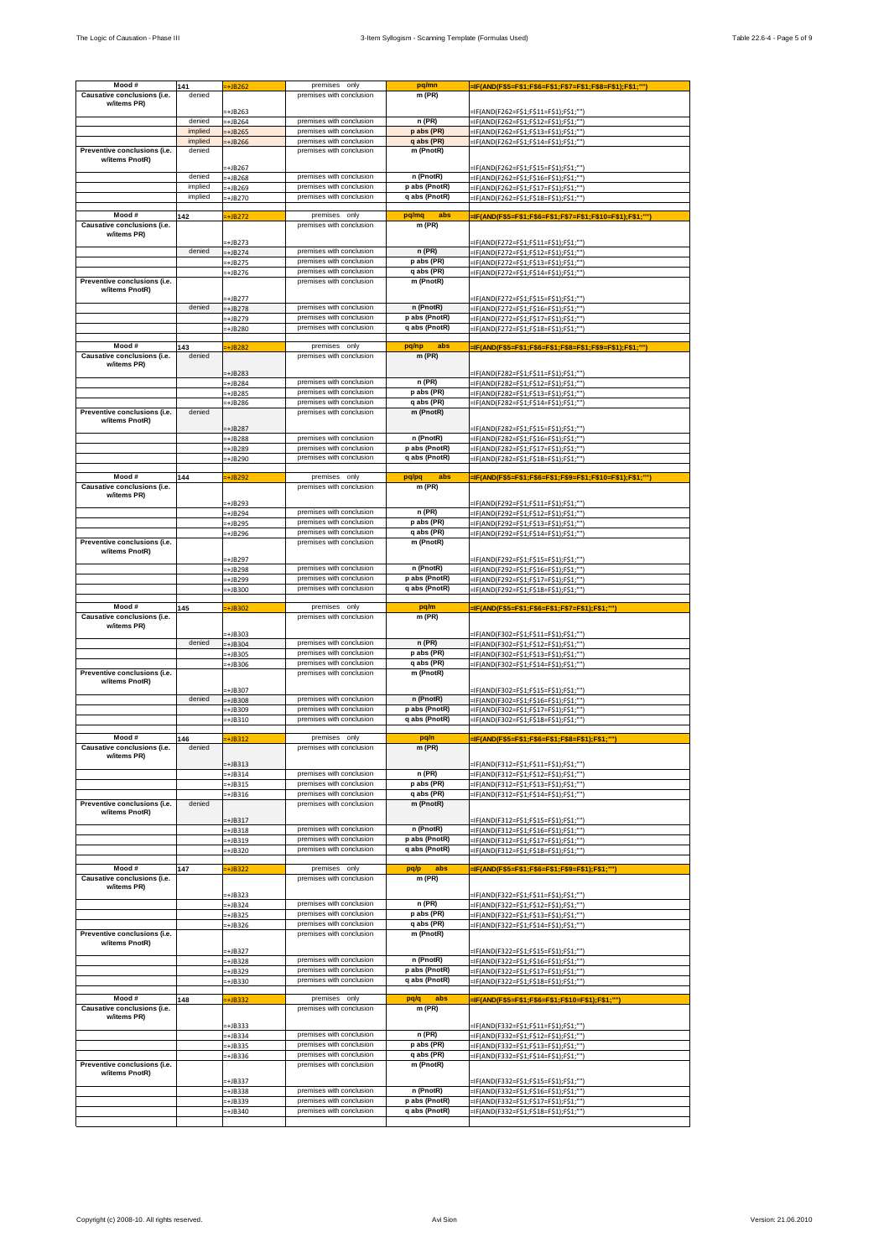| Mood#                                          |                   |                      | premises only                                        |                                |                                                                                  |
|------------------------------------------------|-------------------|----------------------|------------------------------------------------------|--------------------------------|----------------------------------------------------------------------------------|
|                                                | 141<br>denied     | :+JB262              | premises with conclusion                             | pq/mn                          | =IF(AND(F\$5=F\$1;F\$6=F\$1;F\$7=F\$1;F\$8=F\$1);F\$1;"")                        |
| Causative conclusions (i.e.<br>w/items PR)     |                   |                      |                                                      | m (PR)                         |                                                                                  |
|                                                |                   | $=+JB263$            |                                                      |                                | =IF(AND(F262=F\$1;F\$11=F\$1);F\$1;"")                                           |
|                                                | denied            | -+JB264              | premises with conclusion                             | n (PR)                         | =IF(AND(F262=F\$1;F\$12=F\$1);F\$1;"")                                           |
|                                                | implied           | +JB265               | premises with conclusion                             | p abs (PR)                     | =IF(AND(F262=F\$1;F\$13=F\$1);F\$1;"")                                           |
|                                                | implied           | +JB266               | premises with conclusion                             | q abs (PR)                     | =IF(AND(F262=F\$1;F\$14=F\$1);F\$1;"")                                           |
| Preventive conclusions (i.e.                   | denied            |                      | premises with conclusion                             | m (PnotR)                      |                                                                                  |
| w/items PnotR)                                 |                   |                      |                                                      |                                |                                                                                  |
|                                                |                   | +JB267               |                                                      |                                | =IF(AND(F262=F\$1;F\$15=F\$1);F\$1;""]                                           |
|                                                | denied<br>implied | $=+JB268$            | premises with conclusion                             | n (PnotR)                      | =IF(AND(F262=F\$1;F\$16=F\$1);F\$1;"")                                           |
|                                                | implied           | -+JB269              | premises with conclusion<br>premises with conclusion | p abs (PnotR)<br>q abs (PnotR) | =IF(AND(F262=F\$1;F\$17=F\$1);F\$1;"")                                           |
|                                                |                   | -+JB270              |                                                      |                                | =IF(AND(F262=F\$1;F\$18=F\$1);F\$1;"")                                           |
| Mood#                                          | 142               | $\pm$ JB272          | premises only                                        | pq/mq<br>abs                   | =IF(AND(F\$5=F\$1;F\$6=F\$1;F\$7=F\$1;F\$10=F\$1);F\$1;"")                       |
| Causative conclusions (i.e.                    |                   |                      | premises with conclusion                             | m (PR)                         |                                                                                  |
| w/items PR)                                    |                   |                      |                                                      |                                |                                                                                  |
|                                                |                   | :+JB273              |                                                      |                                | =IF(AND(F272=F\$1;F\$11=F\$1);F\$1;"")                                           |
|                                                | denied            | -+JB274              | premises with conclusion<br>premises with conclusion | $n$ (PR)                       | =IF(AND(F272=F\$1;F\$12=F\$1);F\$1;""                                            |
|                                                |                   | $=+JB275$            | premises with conclusion                             | p abs (PR)<br>q abs (PR)       | =IF(AND(F272=F\$1;F\$13=F\$1);F\$1;""]                                           |
| Preventive conclusions (i.e.                   |                   | $=+JB276$            | premises with conclusion                             | m (PnotR)                      | =IF(AND(F272=F\$1;F\$14=F\$1);F\$1;""]                                           |
| w/items PnotR)                                 |                   |                      |                                                      |                                |                                                                                  |
|                                                |                   | -+JB277              |                                                      |                                | =IF(AND(F272=F\$1;F\$15=F\$1);F\$1;"")                                           |
|                                                | denied            | $=+JB278$            | premises with conclusion                             | n (PnotR)                      | =IF(AND(F272=F\$1;F\$16=F\$1);F\$1;"")                                           |
|                                                |                   | -+JB279              | premises with conclusion                             | p abs (PnotR)                  | =IF(AND(F272=F\$1;F\$17=F\$1);F\$1;"")                                           |
|                                                |                   | -+JB280              | premises with conclusion                             | q abs (PnotR)                  | =IF(AND(F272=F\$1;F\$18=F\$1);F\$1;""]                                           |
| Mood#                                          |                   |                      | premises only                                        | pq/np<br>abs                   |                                                                                  |
| Causative conclusions (i.e.                    | 143<br>denied     | $\overline{+}$ JB282 | premises with conclusion                             | $m$ (PR)                       | -IF(AND(F\$5=F\$1;F\$6=F\$1;F\$8=F\$1;F\$9=F\$1);F\$1;""]                        |
| w/items PR)                                    |                   |                      |                                                      |                                |                                                                                  |
|                                                |                   | +JB283               |                                                      |                                | -IF(AND(F282=F\$1;F\$11=F\$1);F\$1;"")                                           |
|                                                |                   | +JB284               | premises with conclusion                             | n (PR)                         | =IF(AND(F282=F\$1;F\$12=F\$1);F\$1;"")                                           |
|                                                |                   | -+JB285              | premises with conclusion                             | p abs (PR)                     | =IF(AND(F282=F\$1;F\$13=F\$1);F\$1;"")                                           |
|                                                |                   | -+JB286              | premises with conclusion                             | q abs (PR)                     | =IF(AND(F282=F\$1;F\$14=F\$1);F\$1;"")                                           |
| Preventive conclusions (i.e.<br>w/items PnotR) | denied            |                      | premises with conclusion                             | m (PnotR)                      |                                                                                  |
|                                                |                   | +JB287               |                                                      |                                | =IF(AND(F282=F\$1;F\$15=F\$1);F\$1;""]                                           |
|                                                |                   | $=+JB288$            | premises with conclusion                             | n (PnotR)                      | =IF(AND(F282=F\$1;F\$16=F\$1);F\$1;""]                                           |
|                                                |                   | -+JB289              | premises with conclusion                             | p abs (PnotR)                  | -IF(AND(F282=F\$1;F\$17=F\$1);F\$1;"")                                           |
|                                                |                   | -+JB290              | premises with conclusion                             | q abs (PnotR)                  | =IF(AND(F282=F\$1;F\$18=F\$1);F\$1;"")                                           |
|                                                |                   |                      |                                                      |                                |                                                                                  |
| Mood#<br>Causative conclusions (i.e.           | 144               | +JB292               | premises only                                        | pq/pq<br>abs                   | =IF(AND(F\$5=F\$1;F\$6=F\$1;F\$9=F\$1;F\$10=F\$1);F\$1;"'                        |
| w/items PR)                                    |                   |                      | premises with conclusion                             | m (PR)                         |                                                                                  |
|                                                |                   | =+JB293              |                                                      |                                | =IF(AND(F292=F\$1;F\$11=F\$1);F\$1;"")                                           |
|                                                |                   | $=+JB294$            | premises with conclusion                             | n (PR)                         | =IF(AND(F292=F\$1;F\$12=F\$1);F\$1;""]                                           |
|                                                |                   | $=+JB295$            | premises with conclusion                             | p abs (PR)                     | =IF(AND(F292=F\$1;F\$13=F\$1);F\$1;"")                                           |
|                                                |                   | $=+JB296$            | premises with conclusion                             | q abs (PR)                     | =IF(AND(F292=F\$1;F\$14=F\$1);F\$1;"")                                           |
| Preventive conclusions (i.e.                   |                   |                      | premises with conclusion                             | m (PnotR)                      |                                                                                  |
| w/items PnotR)                                 |                   | -+JB297              |                                                      |                                | =IF(AND(F292=F\$1;F\$15=F\$1);F\$1;"")                                           |
|                                                |                   | -+JB298              | premises with conclusion                             | n (PnotR)                      | =IF(AND(F292=F\$1;F\$16=F\$1);F\$1;""]                                           |
|                                                |                   | -+JB299              | premises with conclusion                             | p abs (PnotR)                  | =IF(AND(F292=F\$1;F\$17=F\$1);F\$1;""]                                           |
|                                                |                   | $=+JB300$            | premises with conclusion                             | q abs (PnotR)                  | =IF(AND(F292=F\$1;F\$18=F\$1);F\$1;"")                                           |
|                                                |                   |                      |                                                      |                                |                                                                                  |
| Mood #                                         | 145               | <b>+JB302</b>        | premises only                                        | pq/m                           | =IF(AND(F\$5=F\$1;F\$6=F\$1;F\$7=F\$1);F\$1;""                                   |
| Causative conclusions (i.e.                    |                   |                      | premises with conclusion                             | m (PR)                         |                                                                                  |
| w/items PR)                                    |                   | -+JB303              |                                                      |                                | =IF(AND(F302=F\$1;F\$11=F\$1);F\$1;"")                                           |
|                                                | denied            | =+JB304              | premises with conclusion                             | $n$ (PR)                       | =IF(AND(F302=F\$1;F\$12=F\$1);F\$1;""]                                           |
|                                                |                   | -+JB305              | premises with conclusion                             | p abs (PR)                     | =IF(AND(F302=F\$1;F\$13=F\$1);F\$1;"")                                           |
|                                                |                   | -+JB306              | premises with conclusion                             | q abs (PR)                     | =IF(AND(F302=F\$1;F\$14=F\$1);F\$1;"")                                           |
| Preventive conclusions (i.e.                   |                   |                      | premises with conclusion                             | m (PnotR)                      |                                                                                  |
| w/items PnotR)                                 |                   | -+JB307              |                                                      |                                |                                                                                  |
|                                                | denied            | -+JB308              | premises with conclusion                             | n (PnotR)                      | =IF(AND(F302=F\$1;F\$15=F\$1);F\$1;""]                                           |
|                                                |                   | $=+JB309$            | premises with conclusion                             | p abs (PnotR)                  | =IF(AND(F302=F\$1;F\$16=F\$1);F\$1;"")<br>=IF(AND(F302=F\$1;F\$17=F\$1);F\$1;""] |
|                                                |                   | $=+JB310$            | premises with conclusion                             | q abs (PnotR)                  | =IF(AND(F302=F\$1;F\$18=F\$1);F\$1;"")                                           |
|                                                |                   |                      |                                                      |                                |                                                                                  |
| Mood #                                         | 146               | $=+JB312$            | premises only                                        | pq/n                           | =IF(AND(F\$5=F\$1;F\$6=F\$1;F\$8=F\$1);F\$1;""                                   |
| Causative conclusions (i.e.                    | denied            |                      | premises with conclusion                             | m (PR)                         |                                                                                  |
| w/items PR)                                    |                   | $+JB313$             |                                                      |                                |                                                                                  |
|                                                |                   | $=+JB314$            | premises with conclusion                             | n (PR)                         | =IF(AND(F312=F\$1;F\$11=F\$1);F\$1;"")<br>=IF(AND(F312=F\$1;F\$12=F\$1);F\$1;"") |
|                                                |                   | -+JB315              | premises with conclusion                             | p abs (PR)                     | -IF(AND(F312=F\$1;F\$13=F\$1);F\$1;"")                                           |
|                                                |                   | $=+JB316$            | premises with conclusion                             | q abs (PR)                     | =IF(AND(F312=F\$1;F\$14=F\$1);F\$1;"")                                           |
| Preventive conclusions (i.e.                   | denied            |                      | premises with conclusion                             | m (PnotR)                      |                                                                                  |
| w/items PnotR)                                 |                   |                      |                                                      |                                |                                                                                  |
|                                                |                   | $+JB317$             | premises with conclusion                             | n (PnotR)                      | =IF(AND(F312=F\$1;F\$15=F\$1);F\$1;"")                                           |
|                                                |                   | +JB318<br>$=+JB319$  | premises with conclusion                             | p abs (PnotR)                  | =IF(AND(F312=F\$1;F\$16=F\$1);F\$1;"")<br>=IF(AND(F312=F\$1;F\$17=F\$1);F\$1;"") |
|                                                |                   | $=+JB320$            | premises with conclusion                             | q abs (PnotR)                  | =IF(AND(F312=F\$1;F\$18=F\$1);F\$1;"")                                           |
|                                                |                   |                      |                                                      |                                |                                                                                  |
| Mood #                                         | 147               | $\overline{+}$ JB322 | premises only                                        | abs<br>pq/p                    | -IF(AND(F\$5=F\$1;F\$6=F\$1;F\$9=F\$1);F\$1;""]                                  |
| Causative conclusions (i.e.                    |                   |                      | premises with conclusion                             | m (PR)                         |                                                                                  |
| w/items PR)                                    |                   | -+JB323              |                                                      |                                | =IF(AND(F322=F\$1;F\$11=F\$1);F\$1;"")                                           |
|                                                |                   | $=+JB324$            | premises with conclusion                             | $n$ (PR)                       | =IF(AND(F322=F\$1;F\$12=F\$1);F\$1;"")                                           |
|                                                |                   | -+JB325              | premises with conclusion                             | p abs (PR)                     | =IF(AND(F322=F\$1;F\$13=F\$1);F\$1;"")                                           |
|                                                |                   | -+JB326              | premises with conclusion                             | q abs (PR)                     | =IF(AND(F322=F\$1;F\$14=F\$1);F\$1;"")                                           |
| Preventive conclusions (i.e.                   |                   |                      | premises with conclusion                             | m (PnotR)                      |                                                                                  |
| w/items PnotR)                                 |                   |                      |                                                      |                                |                                                                                  |
|                                                |                   | -+JB327              | premises with conclusion                             | n (PnotR)                      | =IF(AND(F322=F\$1;F\$15=F\$1);F\$1;"")                                           |
|                                                |                   | $+JB328$             | premises with conclusion                             | p abs (PnotR)                  | =IF(AND(F322=F\$1;F\$16=F\$1);F\$1;""]                                           |
|                                                |                   | =+JB329              | premises with conclusion                             | q abs (PnotR)                  | =IF(AND(F322=F\$1;F\$17=F\$1);F\$1;"")                                           |
|                                                |                   | =+JB330              |                                                      |                                | =IF(AND(F322=F\$1;F\$18=F\$1);F\$1;"")                                           |
| Mood #                                         | 148               | $=+JB332$            | premises only                                        | pq/q<br>abs                    | =IF(AND(F\$5=F\$1;F\$6=F\$1;F\$10=F\$1);F\$1;"")                                 |
| Causative conclusions (i.e.                    |                   |                      | premises with conclusion                             | m (PR)                         |                                                                                  |
| w/items PR)                                    |                   |                      |                                                      |                                |                                                                                  |
|                                                |                   | -+JB333              |                                                      |                                | =IF(AND(F332=F\$1;F\$11=F\$1);F\$1;"")                                           |
|                                                |                   | -+JB334              | premises with conclusion<br>premises with conclusion | n (PR)<br>p abs (PR)           | =IF(AND(F332=F\$1;F\$12=F\$1);F\$1;"")                                           |
|                                                |                   | -+JB335              | premises with conclusion                             | q abs (PR)                     | =IF(AND(F332=F\$1;F\$13=F\$1);F\$1;"")                                           |
| Preventive conclusions (i.e.                   |                   | $=+JB336$            | premises with conclusion                             | m (PnotR)                      | =IF(AND(F332=F\$1;F\$14=F\$1);F\$1;"")                                           |
| w/items PnotR)                                 |                   |                      |                                                      |                                |                                                                                  |
|                                                |                   | +JB337               |                                                      |                                | =IF(AND(F332=F\$1;F\$15=F\$1);F\$1;"")                                           |
|                                                |                   | $+$ JB338            | premises with conclusion                             | n (PnotR)                      | =IF(AND(F332=F\$1;F\$16=F\$1);F\$1;""]                                           |
|                                                |                   | =+JB339              | premises with conclusion                             | p abs (PnotR)                  | =IF(AND(F332=F\$1;F\$17=F\$1);F\$1;"")                                           |
|                                                |                   | $=+JB340$            | premises with conclusion                             | q abs (PnotR)                  | =IF(AND(F332=F\$1;F\$18=F\$1);F\$1;""]                                           |
|                                                |                   |                      |                                                      |                                |                                                                                  |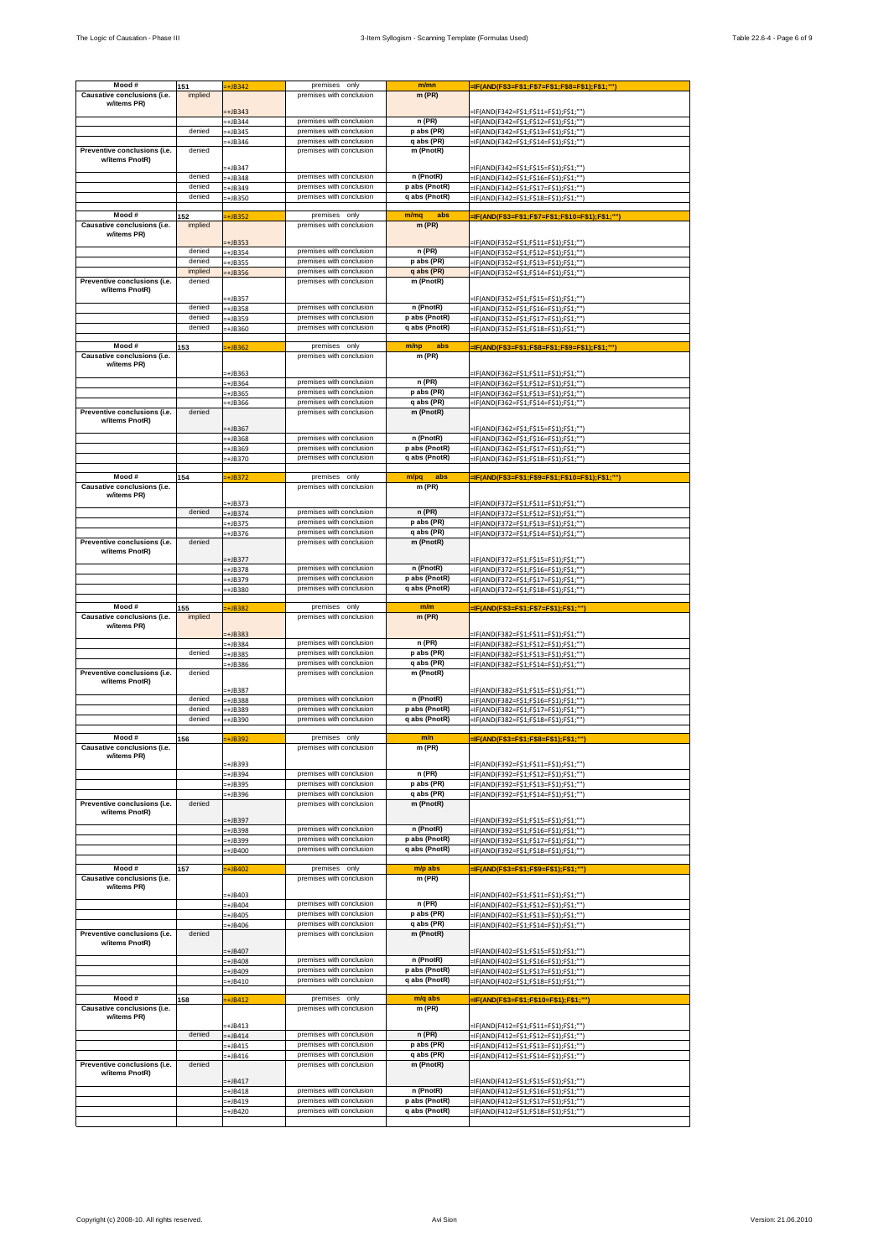| Mood#                                      | 151     | $=+JB342$            | premises only                                        | m/mn                           | =IF(AND(F\$3=F\$1;F\$7=F\$1;F\$8=F\$1);F\$1;""]                                  |
|--------------------------------------------|---------|----------------------|------------------------------------------------------|--------------------------------|----------------------------------------------------------------------------------|
| Causative conclusions (i.e.                | implied |                      | premises with conclusion                             | $m$ (PR)                       |                                                                                  |
| w/items PR)                                |         |                      |                                                      |                                |                                                                                  |
|                                            |         | $+JB343$             |                                                      |                                | =IF(AND(F342=F\$1;F\$11=F\$1);F\$1;""]                                           |
|                                            |         | $=+JB344$            | premises with conclusion                             | n (PR)                         | =IF(AND(F342=F\$1;F\$12=F\$1);F\$1;""]                                           |
|                                            | denied  | -+JB345              | premises with conclusion                             | p abs (PR)                     | =IF(AND(F342=F\$1;F\$13=F\$1);F\$1;""]                                           |
|                                            |         | =+JB346              | premises with conclusion                             | q abs (PR)                     | =IF(AND(F342=F\$1;F\$14=F\$1);F\$1;""]                                           |
| Preventive conclusions (i.e.               | denied  |                      | premises with conclusion                             | m (PnotR)                      |                                                                                  |
| w/items PnotR)                             |         | +JB347               |                                                      |                                | =IF(AND(F342=F\$1;F\$15=F\$1);F\$1;"")                                           |
|                                            | denied  | $=+JB348$            | premises with conclusion                             | n (PnotR)                      | =IF(AND(F342=F\$1;F\$16=F\$1);F\$1;""                                            |
|                                            | denied  | -+JB349              | premises with conclusion                             | p abs (PnotR)                  | =IF(AND(F342=F\$1;F\$17=F\$1);F\$1;""]                                           |
|                                            | denied  | $-+$ JB350           | premises with conclusion                             | q abs (PnotR)                  | =IF(AND(F342=F\$1;F\$18=F\$1);F\$1;""]                                           |
|                                            |         |                      |                                                      |                                |                                                                                  |
| Mood#                                      | 152     | $=+JB352$            | premises only                                        | abs<br>m/mq                    | -IF(AND(F\$3=F\$1;F\$7=F\$1;F\$10=F\$1);F\$1;"")                                 |
| Causative conclusions (i.e.                | implied |                      | premises with conclusion                             | $m$ (PR)                       |                                                                                  |
| w/items PR)                                |         |                      |                                                      |                                |                                                                                  |
|                                            | denied  | $=+JB353$            | premises with conclusion                             | n (PR)                         | =IF(AND(F352=F\$1;F\$11=F\$1);F\$1;""]                                           |
|                                            | denied  | -+JB354<br>-+JB355   | premises with conclusion                             | p abs (PR)                     | =IF(AND(F352=F\$1;F\$12=F\$1);F\$1;""]<br>=IF(AND(F352=F\$1;F\$13=F\$1);F\$1;""] |
|                                            | implied | $=+JB356$            | premises with conclusion                             | q abs (PR)                     | =IF(AND(F352=F\$1;F\$14=F\$1);F\$1;"")                                           |
| Preventive conclusions (i.e.               | denied  |                      | premises with conclusion                             | m (PnotR)                      |                                                                                  |
| w/items PnotR)                             |         |                      |                                                      |                                |                                                                                  |
|                                            | denied  | +JB357               |                                                      |                                | =IF(AND(F352=F\$1;F\$15=F\$1);F\$1;""]                                           |
|                                            | denied  | -+JB358              | premises with conclusion<br>premises with conclusion | n (PnotR)                      | =IF(AND(F352=F\$1;F\$16=F\$1);F\$1;""]                                           |
|                                            | denied  | $=+JB359$            | premises with conclusion                             | p abs (PnotR)<br>q abs (PnotR) | =IF(AND(F352=F\$1;F\$17=F\$1);F\$1;""]                                           |
|                                            |         | -+JB360              |                                                      |                                | -IF(AND(F352=F\$1;F\$18=F\$1);F\$1;"")                                           |
| Mood#                                      | 153     | $=+JB362$            | premises only                                        | m/np<br>abs                    | -IF(AND(F\$3=F\$1;F\$8=F\$1;F\$9=F\$1);F\$1;""]                                  |
| Causative conclusions (i.e.                |         |                      | premises with conclusion                             | m (PR)                         |                                                                                  |
| w/items PR)                                |         |                      |                                                      |                                |                                                                                  |
|                                            |         | -+JB363              | premises with conclusion                             |                                | =IF(AND(F362=F\$1;F\$11=F\$1);F\$1;"")                                           |
|                                            |         | -+JB364              |                                                      | n (PR)                         | =IF(AND(F362=F\$1;F\$12=F\$1);F\$1;""]                                           |
|                                            |         | $=+JB365$            | premises with conclusion<br>premises with conclusion | p abs (PR)<br>q abs (PR)       | =IF(AND(F362=F\$1;F\$13=F\$1);F\$1;""]                                           |
| Preventive conclusions (i.e.               | denied  | $=+JB366$            | premises with conclusion                             | m (PnotR)                      | =IF(AND(F362=F\$1;F\$14=F\$1);F\$1;"")                                           |
| w/items PnotR)                             |         |                      |                                                      |                                |                                                                                  |
|                                            |         | -+JB367              |                                                      |                                | =IF(AND(F362=F\$1;F\$15=F\$1);F\$1;""]                                           |
|                                            |         | $=+JB368$            | premises with conclusion                             | n (PnotR)                      | =IF(AND(F362=F\$1;F\$16=F\$1);F\$1;""]                                           |
|                                            |         | =+JB369              | premises with conclusion                             | p abs (PnotR)                  | =IF(AND(F362=F\$1;F\$17=F\$1);F\$1;""                                            |
|                                            |         | $=+JB370$            | premises with conclusion                             | q abs (PnotR)                  | =IF(AND(F362=F\$1;F\$18=F\$1);F\$1;"")                                           |
| Mood #                                     |         |                      |                                                      |                                |                                                                                  |
| Causative conclusions (i.e.                | 154     | +JB372               | premises only<br>premises with conclusion            | abs<br>m/pq<br>$m$ (PR)        | -IF(AND(F\$3=F\$1;F\$9=F\$1;F\$10=F\$1);F\$1;""]                                 |
| w/items PR)                                |         |                      |                                                      |                                |                                                                                  |
|                                            |         | =+JB373              |                                                      |                                | =IF(AND(F372=F\$1;F\$11=F\$1);F\$1;"")                                           |
|                                            | denied  | $=+JB374$            | premises with conclusion                             | $n$ (PR)                       | =IF(AND(F372=F\$1;F\$12=F\$1);F\$1;""]                                           |
|                                            |         | =+JB375              | premises with conclusion                             | p abs (PR)                     | =IF(AND(F372=F\$1;F\$13=F\$1);F\$1;""]                                           |
|                                            |         | $=+JB376$            | premises with conclusion                             | q abs (PR)                     | =IF(AND(F372=F\$1;F\$14=F\$1);F\$1;""]                                           |
| Preventive conclusions (i.e.               | denied  |                      | premises with conclusion                             | m (PnotR)                      |                                                                                  |
| w/items PnotR)                             |         | =+JB377              |                                                      |                                | =IF(AND(F372=F\$1;F\$15=F\$1);F\$1;"")                                           |
|                                            |         | $=+JB378$            | premises with conclusion                             | n (PnotR)                      | =IF(AND(F372=F\$1;F\$16=F\$1);F\$1;""]                                           |
|                                            |         | =+JB379              | premises with conclusion                             | p abs (PnotR)                  | =IF(AND(F372=F\$1;F\$17=F\$1);F\$1;"")                                           |
|                                            |         | -+JB380              | premises with conclusion                             | q abs (PnotR)                  | =IF(AND(F372=F\$1;F\$18=F\$1);F\$1;"")                                           |
|                                            |         |                      |                                                      |                                |                                                                                  |
| Mood#                                      | 155     | -+JB382              | premises only                                        | m/m                            | -IF(AND(F\$3=F\$1;F\$7=F\$1);F\$1;""                                             |
| Causative conclusions (i.e.<br>w/items PR) | implied |                      | premises with conclusion                             | $m$ (PR)                       |                                                                                  |
|                                            |         | +JB383               |                                                      |                                | =IF(AND(F382=F\$1;F\$11=F\$1);F\$1;""]                                           |
|                                            |         | -+JB384              | premises with conclusion                             | n (PR)                         | =IF(AND(F382=F\$1;F\$12=F\$1);F\$1;""                                            |
|                                            | denied  | =+JB385              | premises with conclusion                             | p abs (PR)                     | =IF(AND(F382=F\$1;F\$13=F\$1);F\$1;""]                                           |
|                                            |         | $-+$ JB386           | premises with conclusion                             | q abs (PR)                     | =IF(AND(F382=F\$1;F\$14=F\$1);F\$1;""]                                           |
| Preventive conclusions (i.e.               | denied  |                      | premises with conclusion                             | m (PnotR)                      |                                                                                  |
| w/items PnotR)                             |         |                      |                                                      |                                |                                                                                  |
|                                            | denied  | -+JB387              | premises with conclusion                             | n (PnotR)                      | =IF(AND(F382=F\$1;F\$15=F\$1);F\$1;""]                                           |
|                                            | denied  | -+JB388<br>-+JB389   | premises with conclusion                             | p abs (PnotR)                  | =IF(AND(F382=F\$1;F\$16=F\$1);F\$1;""<br>=IF(AND(F382=F\$1;F\$17=F\$1);F\$1;""   |
|                                            | denied  | =+JB390              | premises with conclusion                             | q abs (PnotR)                  | =IF(AND(F382=F\$1;F\$18=F\$1);F\$1;""]                                           |
|                                            |         |                      |                                                      |                                |                                                                                  |
| Mood#                                      | 156     | -+JB392              | premises only                                        | m/n                            | =IF(AND(F\$3=F\$1;F\$8=F\$1);F\$1;"")                                            |
| Causative conclusions (i.e.                |         |                      | premises with conclusion                             | m (PR)                         |                                                                                  |
| w/items PR)                                |         |                      |                                                      |                                |                                                                                  |
|                                            |         | +JB393               | premises with conclusion                             | $n$ (PR)                       | -IF(AND(F392=F\$1;F\$11=F\$1);F\$1;""]<br>=IF(AND(F392=F\$1;F\$12=F\$1);F\$1;"") |
|                                            |         | -+JB394<br>$=+JB395$ | premises with conclusion                             | p abs (PR)                     | =IF(AND(F392=F\$1:F\$13=F\$1):F\$1:"")                                           |
|                                            |         | -+JB396              | premises with conclusion                             | q abs (PR)                     | -IF(AND(F392=F\$1;F\$14=F\$1);F\$1;"")                                           |
| Preventive conclusions (i.e.               | denied  |                      | premises with conclusion                             | m (PnotR)                      |                                                                                  |
| w/items PnotR)                             |         |                      |                                                      |                                |                                                                                  |
|                                            |         | $=+JB397$            |                                                      |                                | =IF(AND(F392=F\$1;F\$15=F\$1);F\$1;"")                                           |
|                                            |         | -+JB398              | premises with conclusion                             | n (PnotR)<br>p abs (PnotR)     | =IF(AND(F392=F\$1;F\$16=F\$1);F\$1;"")                                           |
|                                            |         | +JB399               | premises with conclusion<br>premises with conclusion | q abs (PnotR)                  | =IF(AND(F392=F\$1;F\$17=F\$1);F\$1;"")                                           |
|                                            |         | -+JB400              |                                                      |                                | =IF(AND(F392=F\$1;F\$18=F\$1);F\$1;""]                                           |
| Mood #                                     | 157     | $=+JB402$            | premises only                                        | m/p abs                        | =IF(AND(F\$3=F\$1;F\$9=F\$1);F\$1;"")                                            |
| Causative conclusions (i.e.                |         |                      | premises with conclusion                             | $m$ (PR)                       |                                                                                  |
| w/items PR)                                |         |                      |                                                      |                                |                                                                                  |
|                                            |         | -+JB403              |                                                      |                                | =IF(AND(F402=F\$1;F\$11=F\$1);F\$1;""]                                           |
|                                            |         | $=+JB404$            | premises with conclusion<br>premises with conclusion | $n$ (PR)<br>p abs (PR)         | =IF(AND(F402=F\$1;F\$12=F\$1);F\$1;"")                                           |
|                                            |         | -+JB405              | premises with conclusion                             | q abs (PR)                     | =IF(AND(F402=F\$1;F\$13=F\$1);F\$1;""]                                           |
| Preventive conclusions (i.e.               | denied  | -+JB406              | premises with conclusion                             | m (PnotR)                      | =IF(AND(F402=F\$1;F\$14=F\$1);F\$1;""]                                           |
| w/items PnotR)                             |         |                      |                                                      |                                |                                                                                  |
|                                            |         | $+$ JB407            |                                                      |                                | =IF(AND(F402=F\$1;F\$15=F\$1);F\$1;""]                                           |
|                                            |         |                      | premises with conclusion                             | n (PnotR)                      | =IF(AND(F402=F\$1;F\$16=F\$1);F\$1;""                                            |
|                                            |         | -+JB408              |                                                      |                                |                                                                                  |
|                                            |         | -+JB409              | premises with conclusion                             | p abs (PnotR)                  | =IF(AND(F402=F\$1;F\$17=F\$1);F\$1;"")                                           |
|                                            |         | $=+JBA10$            | premises with conclusion                             | q abs (PnotR)                  | =IF(AND(F402=F\$1;F\$18=F\$1);F\$1;""]                                           |
|                                            |         |                      |                                                      |                                |                                                                                  |
| Mood#                                      | 158     | $\div$ JB412         | premises only                                        | m/q abs                        | =IF(AND(F\$3=F\$1;F\$10=F\$1);F\$1;"")                                           |
| Causative conclusions (i.e.                |         |                      | premises with conclusion                             | $m$ (PR)                       |                                                                                  |
| w/items PR)                                |         | -+JB413              |                                                      |                                | =IF(AND(F412=F\$1;F\$11=F\$1);F\$1;""]                                           |
|                                            | denied  | $=+JB414$            | premises with conclusion                             | $n$ (PR)                       | =IF(AND(F412=F\$1;F\$12=F\$1);F\$1;""]                                           |
|                                            |         | -+JB415              | premises with conclusion                             | p abs (PR)                     | =IF(AND(F412=F\$1;F\$13=F\$1);F\$1;"")                                           |
|                                            |         | -+JB416              | premises with conclusion                             | q abs (PR)                     | -IF(AND(F412=F\$1;F\$14=F\$1);F\$1;"")                                           |
| Preventive conclusions (i.e.               | denied  |                      | premises with conclusion                             | m (PnotR)                      |                                                                                  |
| w/items PnotR)                             |         |                      |                                                      |                                |                                                                                  |
|                                            |         | -+JB417              | premises with conclusion                             | n (PnotR)                      | -IF(AND(F412=F\$1;F\$15=F\$1);F\$1;""]                                           |
|                                            |         | +JB418               | premises with conclusion                             | p abs (PnotR)                  | =IF(AND(F412=F\$1;F\$16=F\$1);F\$1;""]                                           |
|                                            |         | -+JB419<br>-+JB420   | premises with conclusion                             | q abs (PnotR)                  | =IF(AND(F412=F\$1;F\$17=F\$1);F\$1;""]<br>=IF(AND(F412=F\$1;F\$18=F\$1);F\$1;""] |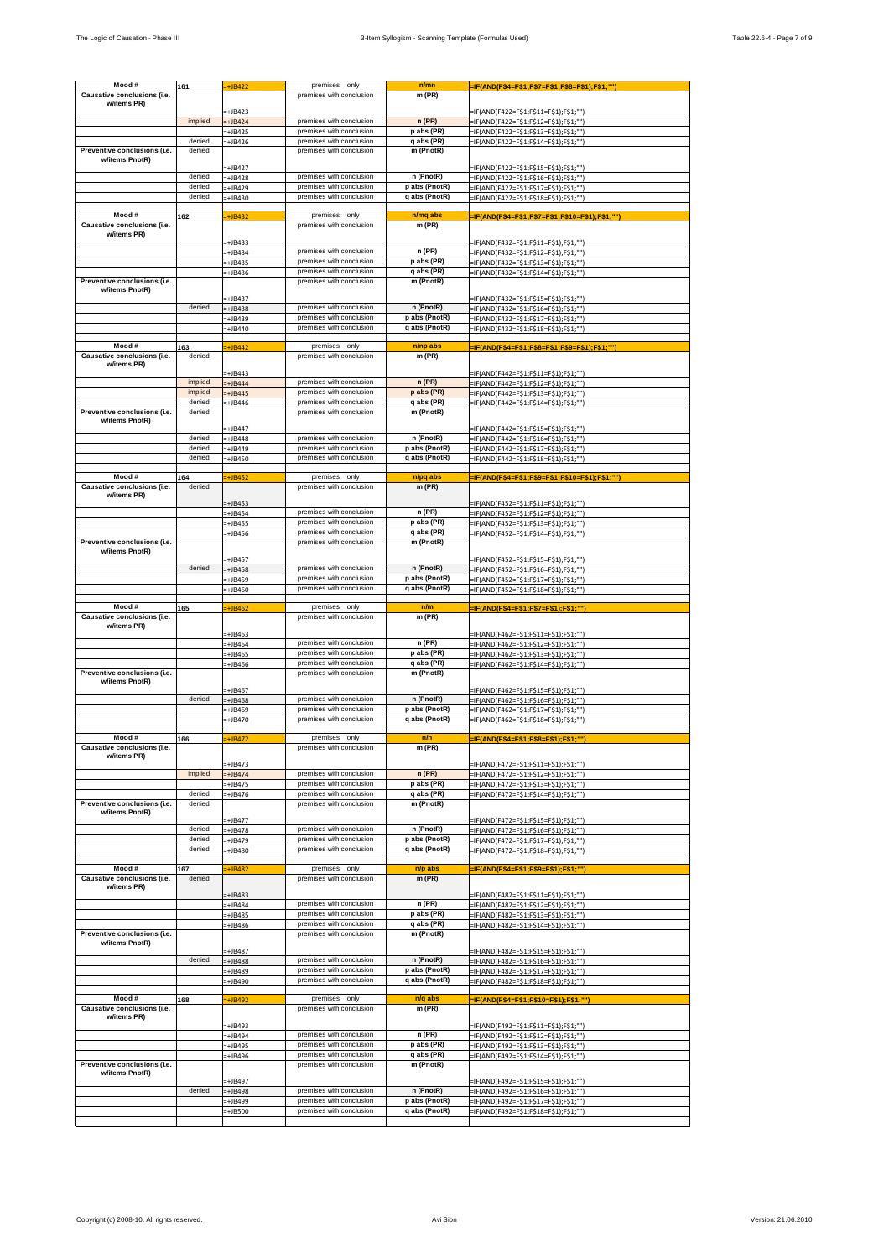| Mood #                                         | 161     | $=+JB422$            | premises only            | n/mn          | <u>=IF(AND(F\$4=F\$1;F\$7=F\$1;F\$8=F\$1);F\$1;""]</u> |
|------------------------------------------------|---------|----------------------|--------------------------|---------------|--------------------------------------------------------|
| Causative conclusions (i.e.                    |         |                      | premises with conclusion | m (PR)        |                                                        |
| w/items PR)                                    |         |                      |                          |               |                                                        |
|                                                |         | $=+JB423$            |                          |               | =IF(AND(F422=F\$1;F\$11=F\$1);F\$1;"")                 |
|                                                | implied | $=+JB424$            | premises with conclusion | $n$ (PR)      | =IF(AND(F422=F\$1;F\$12=F\$1);F\$1;""]                 |
|                                                |         | -+JB425              | premises with conclusion | p abs (PR)    | =IF(AND(F422=F\$1;F\$13=F\$1);F\$1;""]                 |
|                                                | denied  | $=+JB426$            | premises with conclusion | q abs (PR)    | =IF(AND(F422=F\$1;F\$14=F\$1);F\$1;"")                 |
| Preventive conclusions (i.e.                   | denied  |                      | premises with conclusion | m (PnotR)     |                                                        |
| w/items PnotR)                                 |         |                      |                          |               |                                                        |
|                                                |         | $\pm$ JB427          |                          |               | =IF(AND(F422=F\$1;F\$15=F\$1);F\$1;""]                 |
|                                                | denied  | $=+JB428$            | premises with conclusion | n (PnotR)     | =IF(AND(F422=F\$1;F\$16=F\$1);F\$1;""                  |
|                                                | denied  | =+JB429              | premises with conclusion | p abs (PnotR) | =IF(AND(F422=F\$1;F\$17=F\$1);F\$1;"")                 |
|                                                | denied  | $+$ JB430            | premises with conclusion | q abs (PnotR) | =IF(AND(F422=F\$1;F\$18=F\$1);F\$1;""]                 |
|                                                |         |                      |                          |               |                                                        |
| Mood#                                          | 162     | $\div$ JB432         | premises only            | n/mq abs      | -IF(AND(F\$4=F\$1;F\$7=F\$1;F\$10=F\$1);F\$1;"")       |
| Causative conclusions (i.e.                    |         |                      | premises with conclusion | $m$ (PR)      |                                                        |
| w/items PR)                                    |         | $=+JB433$            |                          |               | =IF(AND(F432=F\$1;F\$11=F\$1);F\$1;"")                 |
|                                                |         | -+JB434              | premises with conclusion | n (PR)        | =IF(AND(F432=F\$1;F\$12=F\$1);F\$1;"")                 |
|                                                |         | $=+JB435$            | premises with conclusion | p abs (PR)    | =IF(AND(F432=F\$1;F\$13=F\$1);F\$1;"")                 |
|                                                |         | =+JB436              | premises with conclusion | q abs (PR)    | =IF(AND(F432=F\$1;F\$14=F\$1);F\$1;"")                 |
| Preventive conclusions (i.e.                   |         |                      | premises with conclusion | m (PnotR)     |                                                        |
| w/items PnotR)                                 |         |                      |                          |               |                                                        |
|                                                |         | +JB437               |                          |               | =IF(AND(F432=F\$1;F\$15=F\$1);F\$1;"")                 |
|                                                | denied  | =+JB438              | premises with conclusion | n (PnotR)     | =IF(AND(F432=F\$1;F\$16=F\$1);F\$1;"")                 |
|                                                |         | $=+JB439$            | premises with conclusion | p abs (PnotR) | =IF(AND(F432=F\$1;F\$17=F\$1);F\$1;"")                 |
|                                                |         | -+JB440              | premises with conclusion | q abs (PnotR) | -IF(AND(F432=F\$1;F\$18=F\$1);F\$1;"")                 |
|                                                |         |                      |                          |               |                                                        |
| Mood#                                          | 163     | $=+JB442$            | premises only            | n/np abs      | -IF(AND(F\$4=F\$1;F\$8=F\$1;F\$9=F\$1);F\$1;""]        |
| Causative conclusions (i.e.                    | denied  |                      | premises with conclusion | m (PR)        |                                                        |
| w/items PR)                                    |         |                      |                          |               |                                                        |
|                                                | implied | +JB443               | premises with conclusion | n(PR)         | =IF(AND(F442=F\$1;F\$11=F\$1);F\$1;"")                 |
|                                                | implied | $+JB444$             | premises with conclusion | p abs (PR)    | =IF(AND(F442=F\$1;F\$12=F\$1);F\$1;""]                 |
|                                                | denied  | $+JB445$             | premises with conclusion | q abs (PR)    | =IF(AND(F442=F\$1;F\$13=F\$1);F\$1;""]                 |
| Preventive conclusions (i.e.                   | denied  | $=+JB446$            | premises with conclusion | m (PnotR)     | =IF(AND(F442=F\$1;F\$14=F\$1);F\$1;""]                 |
| w/items PnotR)                                 |         |                      |                          |               |                                                        |
|                                                |         | +JB447               |                          |               | =IF(AND(F442=F\$1;F\$15=F\$1);F\$1;""]                 |
|                                                | denied  | $=+JB448$            | premises with conclusion | n (PnotR)     | =IF(AND(F442=F\$1;F\$16=F\$1);F\$1;""]                 |
|                                                | denied  | $+JB449$             | premises with conclusion | p abs (PnotR) | =IF(AND(F442=F\$1;F\$17=F\$1);F\$1;""                  |
|                                                | denied  | -+JB450              | premises with conclusion | q abs (PnotR) | =IF(AND(F442=F\$1;F\$18=F\$1);F\$1;"")                 |
|                                                |         |                      |                          |               |                                                        |
| Mood#                                          | 164     | +JB452               | premises only            | n/pq abs      | -IF(AND(F\$4=F\$1;F\$9=F\$1;F\$10=F\$1);F\$1;""]       |
| Causative conclusions (i.e.                    | denied  |                      | premises with conclusion | $m$ (PR)      |                                                        |
| w/items PR)                                    |         |                      |                          |               |                                                        |
|                                                |         | +JB453               |                          |               | =IF(AND(F452=F\$1;F\$11=F\$1);F\$1;"")                 |
|                                                |         | $\div$ JB454         | premises with conclusion | n (PR)        | =IF(AND(F452=F\$1;F\$12=F\$1);F\$1;""]                 |
|                                                |         | -+JB455              | premises with conclusion | p abs (PR)    | =IF(AND(F452=F\$1;F\$13=F\$1);F\$1;"")                 |
|                                                |         | $=+JB456$            | premises with conclusion | q abs (PR)    | =IF(AND(F452=F\$1;F\$14=F\$1);F\$1;"")                 |
| Preventive conclusions (i.e.                   |         |                      | premises with conclusion | m (PnotR)     |                                                        |
| w/items PnotR)                                 |         | -+JB457              |                          |               | =IF(AND(F452=F\$1;F\$15=F\$1);F\$1;"")                 |
|                                                | denied  | $=+JB458$            | premises with conclusion | n (PnotR)     | =IF(AND(F452=F\$1;F\$16=F\$1);F\$1;"")                 |
|                                                |         | -+JB459              | premises with conclusion | p abs (PnotR) | =IF(AND(F452=F\$1;F\$17=F\$1);F\$1;"")                 |
|                                                |         | +JB460               | premises with conclusion | q abs (PnotR) | =IF(AND(F452=F\$1;F\$18=F\$1);F\$1;"")                 |
|                                                |         |                      |                          |               |                                                        |
| Mood#                                          | 165     | $=+JB462$            | premises only            | n/m           | =IF(AND(F\$4=F\$1;F\$7=F\$1);F\$1;""                   |
| Causative conclusions (i.e.                    |         |                      | premises with conclusion | m (PR)        |                                                        |
| w/items PR)                                    |         |                      |                          |               |                                                        |
|                                                |         | +JB463               |                          |               | =IF(AND(F462=F\$1;F\$11=F\$1);F\$1;"")                 |
|                                                |         | =+JB464              | premises with conclusion | n (PR)        | =IF(AND(F462=F\$1;F\$12=F\$1);F\$1;""                  |
|                                                |         | $=+JB465$            | premises with conclusion | p abs (PR)    | =IF(AND(F462=F\$1;F\$13=F\$1);F\$1;""]                 |
|                                                |         | $=+JB466$            | premises with conclusion | q abs (PR)    | =IF(AND(F462=F\$1;F\$14=F\$1);F\$1;""]                 |
| Preventive conclusions (i.e.<br>w/items PnotR) |         |                      | premises with conclusion | m (PnotR)     |                                                        |
|                                                |         | -+JB467              |                          |               | =IF(AND(F462=F\$1;F\$15=F\$1);F\$1;""]                 |
|                                                | denied  | -+JB468              | premises with conclusion | n (PnotR)     | =IF(AND(F462=F\$1;F\$16=F\$1);F\$1;""                  |
|                                                |         | =+JB469              | premises with conclusion | p abs (PnotR) | =IF(AND(F462=F\$1;F\$17=F\$1);F\$1;""                  |
|                                                |         | $=+JB470$            | premises with conclusion | q abs (PnotR) | =IF(AND(F462=F\$1;F\$18=F\$1);F\$1;""]                 |
|                                                |         |                      |                          |               |                                                        |
| Mood #                                         | 166     | +JB472               | premises only            | n/n           | -IF(AND(F\$4=F\$1;F\$8=F\$1);F\$1;"")                  |
| Causative conclusions (i.e.                    |         |                      | premises with conclusion | m (PR)        |                                                        |
| w/items PR)                                    |         |                      |                          |               |                                                        |
|                                                |         | +JB473               |                          |               | =IF(AND(F472=F\$1;F\$11=F\$1);F\$1;"")                 |
|                                                | implied | $+JB474$             | premises with conclusion | n(PR)         | =IF(AND(F472=F\$1;F\$12=F\$1);F\$1;"")                 |
|                                                |         | $=+JB475$            | premises with conclusion | p abs (PR)    | =IF(AND(F472=F\$1;F\$13=F\$1);F\$1;"")                 |
|                                                | denied  | -+JB476              | premises with conclusion | q abs (PR)    | -IF(AND(F472=F\$1;F\$14=F\$1);F\$1;"")                 |
| Preventive conclusions (i.e.                   | denied  |                      | premises with conclusion | m (PnotR)     |                                                        |
| w/items PnotR)                                 |         | -+JB477              |                          |               | =IF(AND(F472=F\$1;F\$15=F\$1);F\$1;"")                 |
|                                                |         |                      |                          |               |                                                        |
|                                                | denied  |                      | premises with conclusion | n (PnotR)     |                                                        |
|                                                | denied  | -+JB478              | premises with conclusion | p abs (PnotR) | =IF(AND(F472=F\$1;F\$16=F\$1);F\$1;"")                 |
|                                                | denied  | +JB479               | premises with conclusion | q abs (PnotR) | =IF(AND(F472=F\$1;F\$17=F\$1);F\$1;"")                 |
|                                                |         | +JB480               |                          |               | =IF(AND(F472=F\$1;F\$18=F\$1);F\$1;"")                 |
| Mood #                                         | 167     | $\overline{+}$ JB482 | premises only            | n/p abs       | =IF(AND(F\$4=F\$1;F\$9=F\$1);F\$1;"")                  |
| Causative conclusions (i.e.                    | denied  |                      | premises with conclusion | $m$ (PR)      |                                                        |
| w/items PR)                                    |         |                      |                          |               |                                                        |
|                                                |         | +JB483               |                          |               | =IF(AND(F482=F\$1;F\$11=F\$1);F\$1;"")                 |
|                                                |         | $=+JB484$            | premises with conclusion | $n$ (PR)      | =IF(AND(F482=F\$1;F\$12=F\$1);F\$1;"")                 |
|                                                |         | +JB485               | premises with conclusion | p abs (PR)    | :IF(AND(F482=F\$1;F\$13=F\$1);F\$1;""]                 |
|                                                |         | =+JB486              | premises with conclusion | q abs (PR)    | =IF(AND(F482=F\$1;F\$14=F\$1);F\$1;""]                 |
| Preventive conclusions (i.e.                   |         |                      | premises with conclusion | m (PnotR)     |                                                        |
| w/items PnotR)                                 |         |                      |                          |               |                                                        |
|                                                | denied  | -+JB487              | premises with conclusion | n (PnotR)     | =IF(AND(F482=F\$1;F\$15=F\$1);F\$1;"")                 |
|                                                |         | +JB488               | premises with conclusion | p abs (PnotR) | =IF(AND(F482=F\$1;F\$16=F\$1);F\$1;""                  |
|                                                |         | =+JB489              |                          |               | =IF(AND(F482=F\$1;F\$17=F\$1);F\$1;"")                 |
|                                                |         | $=+JB490$            | premises with conclusion | q abs (PnotR) | =IF(AND(F482=F\$1;F\$18=F\$1);F\$1;""]                 |
| Mood #                                         | 168     | $=+JB492$            | premises only            | n/q abs       | =IF(AND(F\$4=F\$1;F\$10=F\$1);F\$1;"")                 |
| Causative conclusions (i.e.                    |         |                      | premises with conclusion | m (PR)        |                                                        |
| w/items PR)                                    |         |                      |                          |               |                                                        |
|                                                |         | -+JB493              |                          |               | =IF(AND(F492=F\$1;F\$11=F\$1);F\$1;"")                 |
|                                                |         | $=+JB494$            | premises with conclusion | n(PR)         | =IF(AND(F492=F\$1;F\$12=F\$1);F\$1;"")                 |
|                                                |         | -+JB495              | premises with conclusion | p abs (PR)    | =IF(AND(F492=F\$1;F\$13=F\$1);F\$1;"")                 |
|                                                |         | -+JB496              | premises with conclusion | q abs (PR)    | =IF(AND(F492=F\$1;F\$14=F\$1);F\$1;"")                 |
| Preventive conclusions (i.e.                   |         |                      | premises with conclusion | m (PnotR)     |                                                        |
| w/items PnotR)                                 |         |                      |                          |               |                                                        |
|                                                |         | +JB497               |                          |               | -IF(AND(F492=F\$1;F\$15=F\$1);F\$1;"")                 |
|                                                | denied  | +JB498               | premises with conclusion | n (PnotR)     | =IF(AND(F492=F\$1;F\$16=F\$1);F\$1;"")                 |
|                                                |         | +JB499               | premises with conclusion | p abs (PnotR) | =IF(AND(F492=F\$1;F\$17=F\$1);F\$1;"")                 |
|                                                |         | -+JB500              | premises with conclusion | q abs (PnotR) | =IF(AND(F492=F\$1;F\$18=F\$1);F\$1;""]                 |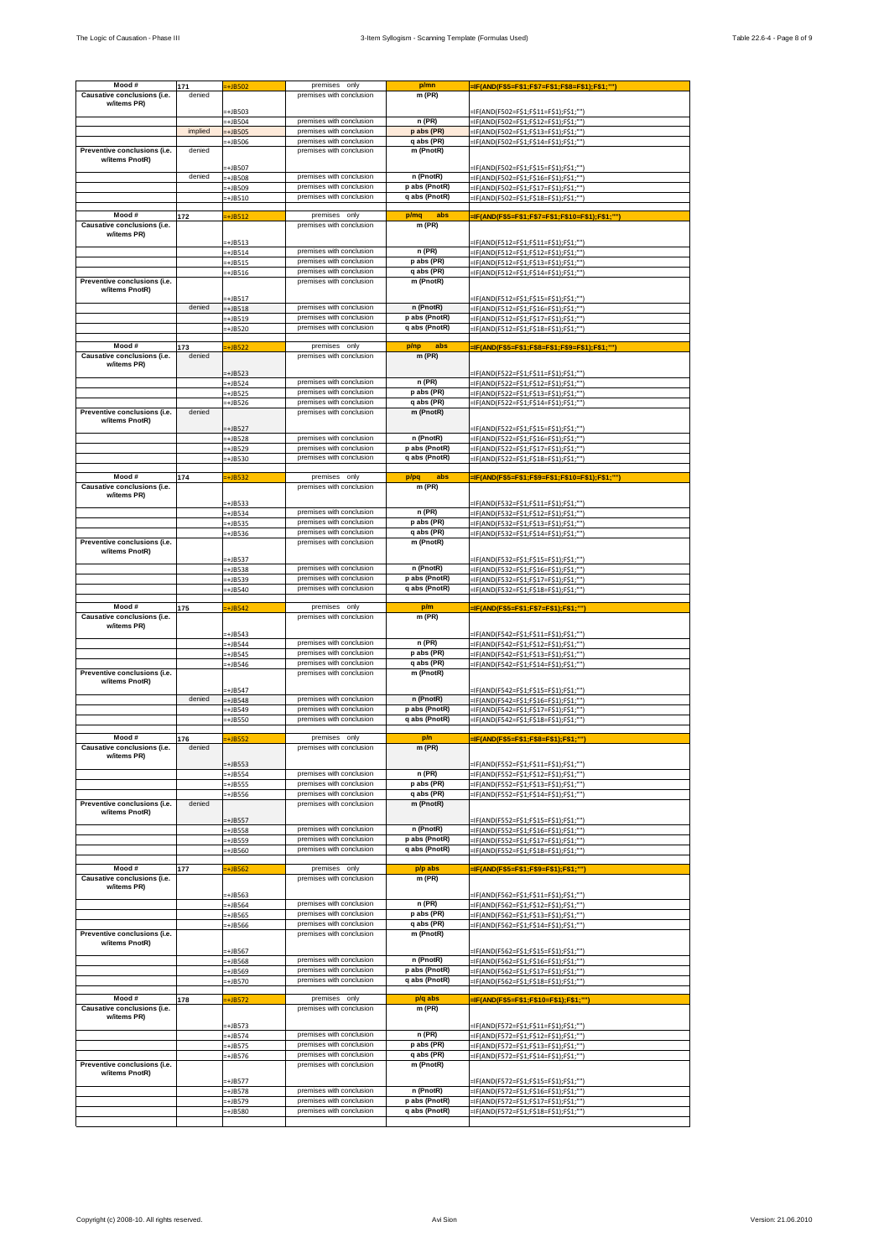|                                                | 171     | $=+JB502$              | premises only                                        | p/mn                           | =IF(AND(F\$5=F\$1;F\$7=F\$1;F\$8=F\$1);F\$1;"")                                  |
|------------------------------------------------|---------|------------------------|------------------------------------------------------|--------------------------------|----------------------------------------------------------------------------------|
| Causative conclusions (i.e.                    | denied  |                        | premises with conclusion                             | m (PR)                         |                                                                                  |
| w/items PR)                                    |         |                        |                                                      |                                |                                                                                  |
|                                                |         | -+JB503                |                                                      |                                | =IF(AND(F502=F\$1;F\$11=F\$1);F\$1;"")                                           |
|                                                |         | $=+JB504$              | premises with conclusion                             | n (PR)                         | =IF(AND(F502=F\$1;F\$12=F\$1);F\$1;"")                                           |
|                                                | implied | $=+JB505$              | premises with conclusion                             | p abs (PR)                     | =IF(AND(F502=F\$1;F\$13=F\$1);F\$1;"")                                           |
|                                                |         | -+JB506                | premises with conclusion                             | q abs (PR)                     | =IF(AND(F502=F\$1;F\$14=F\$1);F\$1;"")                                           |
| Preventive conclusions (i.e.                   | denied  |                        | premises with conclusion                             | m (PnotR)                      |                                                                                  |
| w/items PnotR)                                 |         | +JB507                 |                                                      |                                | =IF(AND(F502=F\$1;F\$15=F\$1);F\$1;"")                                           |
|                                                | denied  | +JB508                 | premises with conclusion                             | n (PnotR)                      | =IF(AND(F502=F\$1;F\$16=F\$1);F\$1;"")                                           |
|                                                |         | -+JB509                | premises with conclusion                             | p abs (PnotR)                  | =IF(AND(F502=F\$1;F\$17=F\$1);F\$1;"")                                           |
|                                                |         | -+JB510                | premises with conclusion                             | q abs (PnotR)                  | =IF(AND(F502=F\$1;F\$18=F\$1);F\$1;"")                                           |
|                                                |         |                        |                                                      |                                |                                                                                  |
| Mood #                                         | 172     | $\div$ JB512           | premises only                                        | p/mq<br>abs                    | -IF(AND(F\$5=F\$1;F\$7=F\$1;F\$10=F\$1);F\$1;""                                  |
| Causative conclusions (i.e.                    |         |                        | premises with conclusion                             | m (PR)                         |                                                                                  |
| w/items PR)                                    |         |                        |                                                      |                                |                                                                                  |
|                                                |         | $=+JB513$              |                                                      |                                | =IF(AND(F512=F\$1;F\$11=F\$1);F\$1;"")                                           |
|                                                |         | -+JB514                | premises with conclusion<br>premises with conclusion | n (PR)                         | =IF(AND(F512=F\$1;F\$12=F\$1);F\$1;""                                            |
|                                                |         | $=+JB515$              |                                                      | p abs (PR)                     | =IF(AND(F512=F\$1;F\$13=F\$1);F\$1;""]                                           |
| Preventive conclusions (i.e.                   |         | $=+JB516$              | premises with conclusion<br>premises with conclusion | q abs (PR)<br>m (PnotR)        | =IF(AND(F512=F\$1;F\$14=F\$1);F\$1;"")                                           |
| w/items PnotR)                                 |         |                        |                                                      |                                |                                                                                  |
|                                                |         | -+JB517                |                                                      |                                | =IF(AND(F512=F\$1;F\$15=F\$1);F\$1;""]                                           |
|                                                | denied  | $=+JB518$              | premises with conclusion                             | n (PnotR)                      | =IF(AND(F512=F\$1;F\$16=F\$1);F\$1;""]                                           |
|                                                |         | $=+JB519$              | premises with conclusion                             | p abs (PnotR)                  | =IF(AND(F512=F\$1;F\$17=F\$1);F\$1;"")                                           |
|                                                |         | $=+JB520$              | premises with conclusion                             | q abs (PnotR)                  | -IF(AND(F512=F\$1;F\$18=F\$1);F\$1;"")                                           |
|                                                |         |                        |                                                      |                                |                                                                                  |
| Mood#                                          | 173     | $=+JB522$              | premises only                                        | p/np<br>abs                    | -IF(AND(F\$5=F\$1;F\$8=F\$1;F\$9=F\$1);F\$1;"")                                  |
| Causative conclusions (i.e.                    | denied  |                        | premises with conclusion                             | $m$ (PR)                       |                                                                                  |
| w/items PR)                                    |         | $=+JB523$              |                                                      |                                | =IF(AND(F522=F\$1;F\$11=F\$1);F\$1;"")                                           |
|                                                |         | =+JB524                | premises with conclusion                             | n (PR)                         |                                                                                  |
|                                                |         | -+JB525                | premises with conclusion                             | p abs (PR)                     | =IF(AND(F522=F\$1;F\$12=F\$1);F\$1;"")<br>=IF(AND(F522=F\$1;F\$13=F\$1);F\$1;"") |
|                                                |         | =+JB526                | premises with conclusion                             | q abs (PR)                     | =IF(AND(F522=F\$1;F\$14=F\$1);F\$1;"")                                           |
| Preventive conclusions (i.e.                   | denied  |                        | premises with conclusion                             | m (PnotR)                      |                                                                                  |
| w/items PnotR)                                 |         |                        |                                                      |                                |                                                                                  |
|                                                |         | +JB527                 |                                                      |                                | =IF(AND(F522=F\$1;F\$15=F\$1);F\$1;"")                                           |
|                                                |         | -+JB528                | premises with conclusion                             | n (PnotR)                      | =IF(AND(F522=F\$1;F\$16=F\$1);F\$1;"")                                           |
|                                                |         | $=+JB529$              | premises with conclusion                             | p abs (PnotR)                  | =IF(AND(F522=F\$1;F\$17=F\$1);F\$1;""]                                           |
|                                                |         | -+JB530                | premises with conclusion                             | q abs (PnotR)                  | =IF(AND(F522=F\$1;F\$18=F\$1);F\$1;"")                                           |
| Mood #                                         |         |                        | premises only                                        | p/pq<br>abs                    |                                                                                  |
| Causative conclusions (i.e.                    | 174     | $+$ JB532              | premises with conclusion                             | m (PR)                         | -IF(AND(F\$5=F\$1;F\$9=F\$1;F\$10=F\$1);F\$1;"")                                 |
| w/items PR)                                    |         |                        |                                                      |                                |                                                                                  |
|                                                |         | -+JB533                |                                                      |                                | =IF(AND(F532=F\$1;F\$11=F\$1);F\$1;"")                                           |
|                                                |         | $=+JB534$              | premises with conclusion                             | n (PR)                         | =IF(AND(F532=F\$1;F\$12=F\$1);F\$1;""]                                           |
|                                                |         | $=+JB535$              | premises with conclusion                             | p abs (PR)                     | =IF(AND(F532=F\$1;F\$13=F\$1);F\$1;""]                                           |
|                                                |         | $=+JB536$              | premises with conclusion                             | q abs (PR)                     | =IF(AND(F532=F\$1;F\$14=F\$1);F\$1;""]                                           |
| Preventive conclusions (i.e.                   |         |                        | premises with conclusion                             | m (PnotR)                      |                                                                                  |
| w/items PnotR)                                 |         | -+JB537                |                                                      |                                | =IF(AND(F532=F\$1;F\$15=F\$1);F\$1;"")                                           |
|                                                |         | $=+JB538$              | premises with conclusion                             | n (PnotR)                      | =IF(AND(F532=F\$1;F\$16=F\$1);F\$1;"")                                           |
|                                                |         | -+JB539                | premises with conclusion                             | p abs (PnotR)                  | =IF(AND(F532=F\$1;F\$17=F\$1);F\$1;"")                                           |
|                                                |         | $=+JB540$              | premises with conclusion                             | q abs (PnotR)                  | =IF(AND(F532=F\$1;F\$18=F\$1);F\$1;"")                                           |
|                                                |         |                        |                                                      |                                |                                                                                  |
| Mood #                                         | 175     | $=+JB542$              | premises only                                        | p/m                            | =IF(AND(F\$5=F\$1;F\$7=F\$1);F\$1;"")                                            |
|                                                |         |                        |                                                      |                                |                                                                                  |
| Causative conclusions (i.e.                    |         |                        | premises with conclusion                             | m (PR)                         |                                                                                  |
| w/items PR)                                    |         |                        |                                                      |                                |                                                                                  |
|                                                |         | -+JB543                |                                                      |                                | =IF(AND(F542=F\$1;F\$11=F\$1);F\$1;"")                                           |
|                                                |         | +JB544                 | premises with conclusion                             | n (PR)                         | =IF(AND(F542=F\$1;F\$12=F\$1);F\$1;"")                                           |
|                                                |         | -+JB545                | premises with conclusion                             | p abs (PR)                     | =IF(AND(F542=F\$1;F\$13=F\$1);F\$1;"")                                           |
|                                                |         | =+JB546                | premises with conclusion                             | q abs (PR)                     | =IF(AND(F542=F\$1;F\$14=F\$1);F\$1;"")                                           |
| Preventive conclusions (i.e.<br>w/items PnotR) |         |                        | premises with conclusion                             | m (PnotR)                      |                                                                                  |
|                                                |         | -+JB547                |                                                      |                                | =IF(AND(F542=F\$1;F\$15=F\$1);F\$1;""]                                           |
|                                                | denied  | $=+JB548$              | premises with conclusion                             | n (PnotR)                      | =IF(AND(F542=F\$1;F\$16=F\$1);F\$1;"")                                           |
|                                                |         | -+JB549                | premises with conclusion                             | p abs (PnotR)                  | -IF(AND(F542=F\$1;F\$17=F\$1);F\$1;"")                                           |
|                                                |         | -+JB550                | premises with conclusion                             | q abs (PnotR)                  | =IF(AND(F542=F\$1;F\$18=F\$1);F\$1;"")                                           |
|                                                |         |                        |                                                      |                                |                                                                                  |
| Mood #                                         | 176     | -+JB552                | premises only                                        | p/n                            | =IF(AND(F\$5=F\$1;F\$8=F\$1);F\$1;""                                             |
| Causative conclusions (i.e.                    | denied  |                        | premises with conclusion                             | $m$ (PR)                       |                                                                                  |
| w/items PR)                                    |         | +JB553                 |                                                      |                                | =IF(AND(F552=F\$1;F\$11=F\$1);F\$1;"")                                           |
|                                                |         | $=+JB554$              | premises with conclusion                             | n (PR)                         | =IF(AND(F552=F\$1;F\$12=F\$1);F\$1;"")                                           |
|                                                |         | =+JB555                | premises with conclusion                             | p abs (PR)                     | =IF(AND(F552=F\$1;F\$13=F\$1);F\$1;"")                                           |
|                                                |         | -+JB556                | premises with conclusion                             | q abs (PR)                     | -IF(AND(F552=F\$1;F\$14=F\$1);F\$1;"")                                           |
| Preventive conclusions (i.e.                   | denied  |                        | premises with conclusion                             | m (PnotR)                      |                                                                                  |
| w/items PnotR)                                 |         |                        |                                                      |                                |                                                                                  |
|                                                |         | -+JB557                | premises with conclusion                             | n (PnotR)                      | =IF(AND(F552=F\$1;F\$15=F\$1);F\$1;"")                                           |
|                                                |         | +JB558                 | premises with conclusion                             | p abs (PnotR)                  | =IF(AND(F552=F\$1;F\$16=F\$1);F\$1;"")<br>=IF(AND(F552=F\$1;F\$17=F\$1);F\$1;"") |
|                                                |         | -+JB559                | premises with conclusion                             | q abs (PnotR)                  |                                                                                  |
|                                                |         | $=+JB560$              |                                                      |                                | =IF(AND(F552=F\$1;F\$18=F\$1);F\$1;"")                                           |
| Mood #                                         | 177     | $+$ JB562              | premises<br>only                                     | p/p abs                        | =IF(AND(F\$5=F\$1;F\$9=F\$1);F\$1;"")                                            |
| Causative conclusions (i.e.                    |         |                        | premises with conclusion                             | m (PR)                         |                                                                                  |
| w/items PR)                                    |         |                        |                                                      |                                |                                                                                  |
|                                                |         | +JB563                 | premises with conclusion                             | n (PR)                         | =IF(AND(F562=F\$1;F\$11=F\$1);F\$1;"")                                           |
|                                                |         | -+JB564                | premises with conclusion                             | p abs (PR)                     | =IF(AND(F562=F\$1;F\$12=F\$1);F\$1;"")                                           |
|                                                |         | -+JB565                | premises with conclusion                             | q abs (PR)                     | =IF(AND(F562=F\$1;F\$13=F\$1);F\$1;"")                                           |
| Preventive conclusions (i.e.                   |         | -+JB566                | premises with conclusion                             | m (PnotR)                      | =IF(AND(F562=F\$1;F\$14=F\$1);F\$1;"")                                           |
| w/items PnotR)                                 |         |                        |                                                      |                                |                                                                                  |
|                                                |         | -+JB567                |                                                      |                                | =IF(AND(F562=F\$1;F\$15=F\$1);F\$1;"")                                           |
|                                                |         | -+JB568                | premises with conclusion                             | n (PnotR)                      | =IF(AND(F562=F\$1;F\$16=F\$1);F\$1;"")                                           |
|                                                |         | -+JB569                | premises with conclusion                             | p abs (PnotR)                  | =IF(AND(F562=F\$1;F\$17=F\$1);F\$1;"")                                           |
|                                                |         | =+JB570                | premises with conclusion                             | q abs (PnotR)                  | =IF(AND(F562=F\$1;F\$18=F\$1);F\$1;"")                                           |
|                                                |         |                        |                                                      |                                |                                                                                  |
| Mood #                                         | 178     | $=+JB572$              | premises only                                        | p/q abs                        | =IF(AND(F\$5=F\$1;F\$10=F\$1);F\$1;"")                                           |
| Causative conclusions (i.e.<br>w/items PR)     |         |                        | premises with conclusion                             | m (PR)                         |                                                                                  |
|                                                |         | $-+$ JB573             |                                                      |                                | =IF(AND(F572=F\$1;F\$11=F\$1);F\$1;"")                                           |
|                                                |         | $=+JB574$              | premises with conclusion                             | n(PR)                          | =IF(AND(F572=F\$1;F\$12=F\$1);F\$1;"")                                           |
|                                                |         | $+JB575$               | premises with conclusion                             | p abs (PR)                     | -IF(AND(F572=F\$1;F\$13=F\$1);F\$1;"")                                           |
|                                                |         | $=+JB576$              | premises with conclusion                             | q abs (PR)                     | =IF(AND(F572=F\$1;F\$14=F\$1);F\$1;"")                                           |
| Preventive conclusions (i.e.                   |         |                        | premises with conclusion                             | m (PnotR)                      |                                                                                  |
| w/items PnotR)                                 |         |                        |                                                      |                                |                                                                                  |
|                                                |         | +JB577                 | premises with conclusion                             | n (PnotR)                      | =IF(AND(F572=F\$1;F\$15=F\$1);F\$1;"")                                           |
|                                                |         | +JB578                 | premises with conclusion                             |                                | =IF(AND(F572=F\$1;F\$16=F\$1);F\$1;""]                                           |
|                                                |         | $=+JB579$<br>$=+JB580$ | premises with conclusion                             | p abs (PnotR)<br>q abs (PnotR) | =IF(AND(F572=F\$1;F\$17=F\$1);F\$1;""]<br>=IF(AND(F572=F\$1;F\$18=F\$1);F\$1;""  |